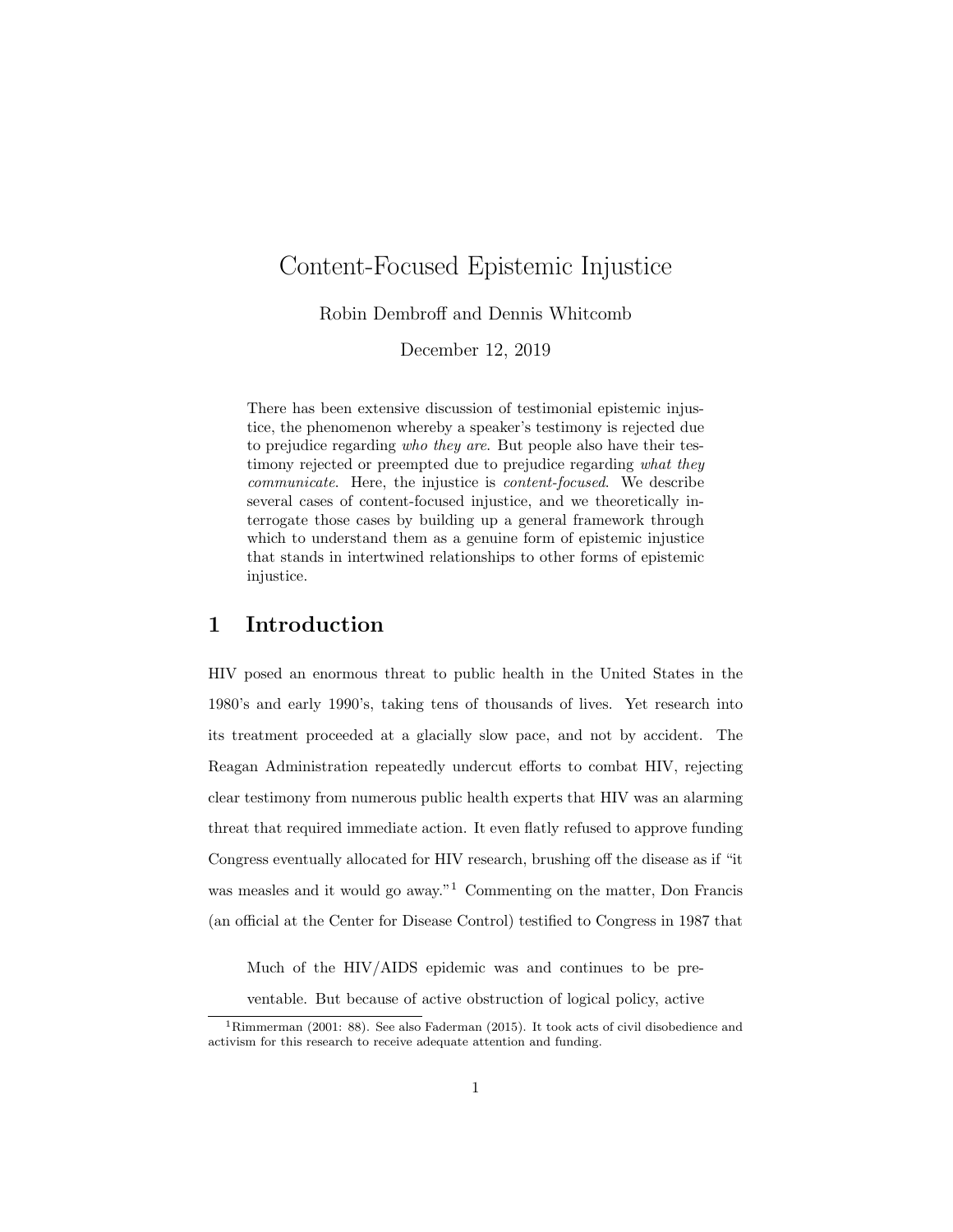# <span id="page-0-0"></span>Content-Focused Epistemic Injustice

Robin Dembroff and Dennis Whitcomb

December 12, 2019

There has been extensive discussion of testimonial epistemic injustice, the phenomenon whereby a speaker's testimony is rejected due to prejudice regarding who they are. But people also have their testimony rejected or preempted due to prejudice regarding what they communicate. Here, the injustice is content-focused. We describe several cases of content-focused injustice, and we theoretically interrogate those cases by building up a general framework through which to understand them as a genuine form of epistemic injustice that stands in intertwined relationships to other forms of epistemic injustice.

## 1 Introduction

HIV posed an enormous threat to public health in the United States in the 1980's and early 1990's, taking tens of thousands of lives. Yet research into its treatment proceeded at a glacially slow pace, and not by accident. The Reagan Administration repeatedly undercut efforts to combat HIV, rejecting clear testimony from numerous public health experts that HIV was an alarming threat that required immediate action. It even flatly refused to approve funding Congress eventually allocated for HIV research, brushing off the disease as if "it was measles and it would go away."<sup>1</sup> Commenting on the matter, Don Francis (an official at the Center for Disease Control) testified to Congress in 1987 that

Much of the HIV/AIDS epidemic was and continues to be pre-

ventable. But because of active obstruction of logical policy, active

<sup>&</sup>lt;sup>1</sup>Rimmerman (2001: 88). See also Faderman (2015). It took acts of civil disobedience and activism for this research to receive adequate attention and funding.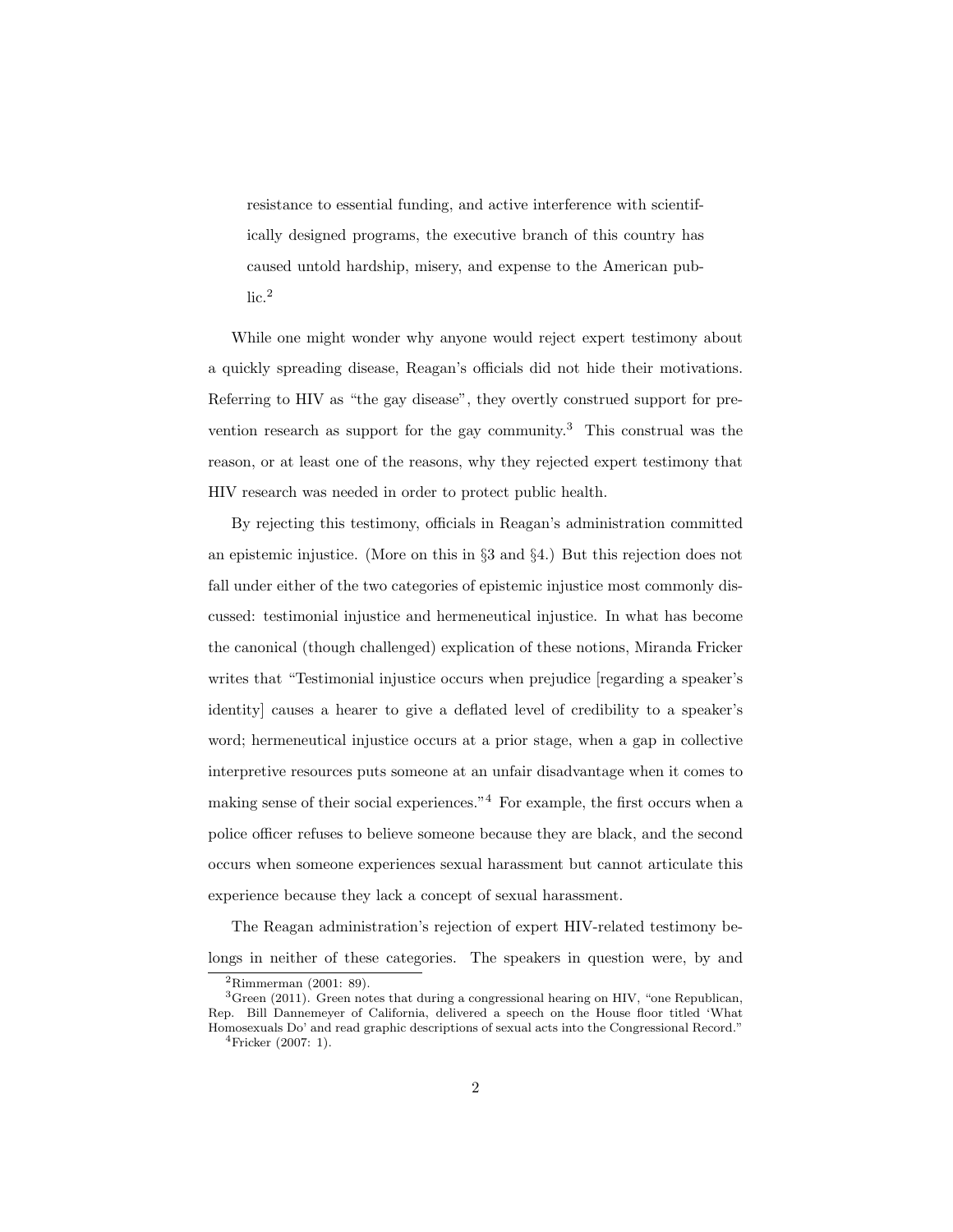resistance to essential funding, and active interference with scientifically designed programs, the executive branch of this country has caused untold hardship, misery, and expense to the American pub- $lic.<sup>2</sup>$  $lic.<sup>2</sup>$  $lic.<sup>2</sup>$ 

While one might wonder why anyone would reject expert testimony about a quickly spreading disease, Reagan's officials did not hide their motivations. Referring to HIV as "the gay disease", they overtly construed support for pre-vention research as support for the gay community.<sup>[3](#page-0-0)</sup> This construal was the reason, or at least one of the reasons, why they rejected expert testimony that HIV research was needed in order to protect public health.

By rejecting this testimony, officials in Reagan's administration committed an epistemic injustice. (More on this in §3 and §4.) But this rejection does not fall under either of the two categories of epistemic injustice most commonly discussed: testimonial injustice and hermeneutical injustice. In what has become the canonical (though challenged) explication of these notions, Miranda Fricker writes that "Testimonial injustice occurs when prejudice [regarding a speaker's identity] causes a hearer to give a deflated level of credibility to a speaker's word; hermeneutical injustice occurs at a prior stage, when a gap in collective interpretive resources puts someone at an unfair disadvantage when it comes to making sense of their social experiences."[4](#page-0-0) For example, the first occurs when a police officer refuses to believe someone because they are black, and the second occurs when someone experiences sexual harassment but cannot articulate this experience because they lack a concept of sexual harassment.

The Reagan administration's rejection of expert HIV-related testimony belongs in neither of these categories. The speakers in question were, by and

<sup>2</sup>Rimmerman (2001: 89).

 ${}^{3}$ Green (2011). Green notes that during a congressional hearing on HIV, "one Republican, Rep. Bill Dannemeyer of California, delivered a speech on the House floor titled 'What Homosexuals Do' and read graphic descriptions of sexual acts into the Congressional Record."

 ${}^{4}$ Fricker (2007: 1).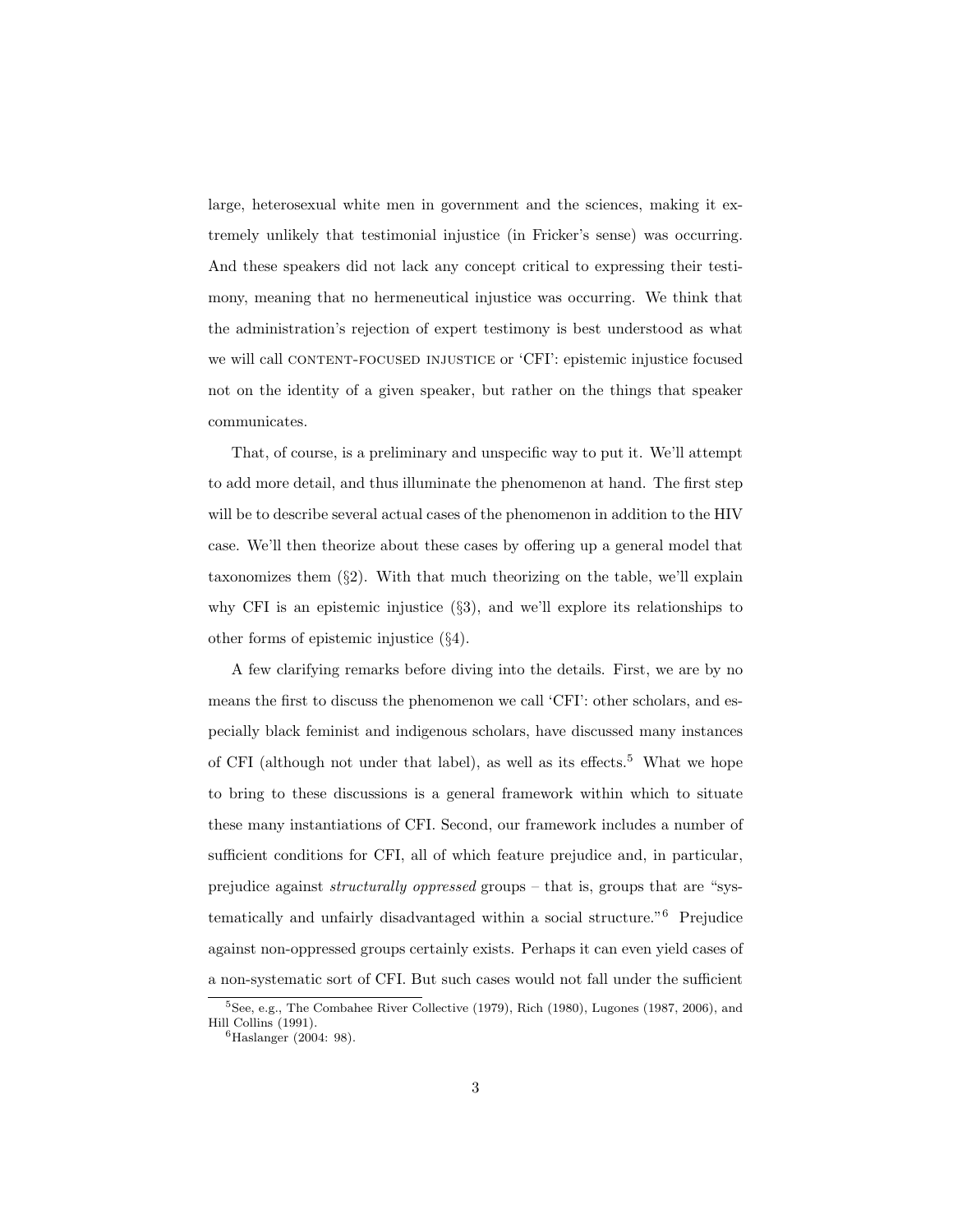large, heterosexual white men in government and the sciences, making it extremely unlikely that testimonial injustice (in Fricker's sense) was occurring. And these speakers did not lack any concept critical to expressing their testimony, meaning that no hermeneutical injustice was occurring. We think that the administration's rejection of expert testimony is best understood as what we will call CONTENT-FOCUSED INJUSTICE or 'CFI': epistemic injustice focused not on the identity of a given speaker, but rather on the things that speaker communicates.

That, of course, is a preliminary and unspecific way to put it. We'll attempt to add more detail, and thus illuminate the phenomenon at hand. The first step will be to describe several actual cases of the phenomenon in addition to the HIV case. We'll then theorize about these cases by offering up a general model that taxonomizes them  $(\S2)$ . With that much theorizing on the table, we'll explain why CFI is an epistemic injustice (§3), and we'll explore its relationships to other forms of epistemic injustice (§4).

A few clarifying remarks before diving into the details. First, we are by no means the first to discuss the phenomenon we call 'CFI': other scholars, and especially black feminist and indigenous scholars, have discussed many instances of CFI (although not under that label), as well as its effects.<sup>[5](#page-0-0)</sup> What we hope to bring to these discussions is a general framework within which to situate these many instantiations of CFI. Second, our framework includes a number of sufficient conditions for CFI, all of which feature prejudice and, in particular, prejudice against structurally oppressed groups – that is, groups that are "systematically and unfairly disadvantaged within a social structure."[6](#page-0-0) Prejudice against non-oppressed groups certainly exists. Perhaps it can even yield cases of a non-systematic sort of CFI. But such cases would not fall under the sufficient

<sup>5</sup>See, e.g., The Combahee River Collective (1979), Rich (1980), Lugones (1987, 2006), and Hill Collins (1991).

<sup>6</sup>Haslanger (2004: 98).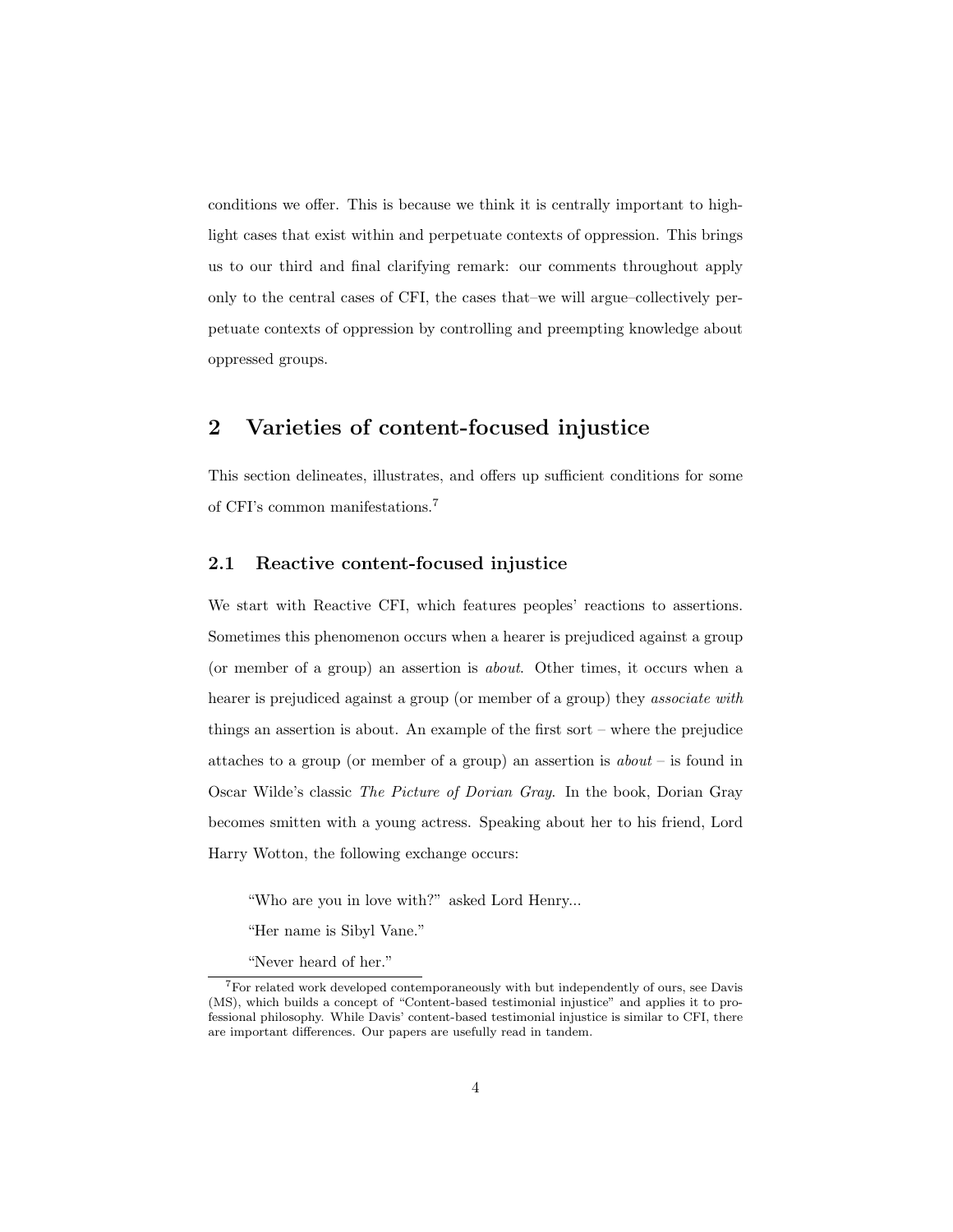conditions we offer. This is because we think it is centrally important to highlight cases that exist within and perpetuate contexts of oppression. This brings us to our third and final clarifying remark: our comments throughout apply only to the central cases of CFI, the cases that–we will argue–collectively perpetuate contexts of oppression by controlling and preempting knowledge about oppressed groups.

## 2 Varieties of content-focused injustice

This section delineates, illustrates, and offers up sufficient conditions for some of CFI's common manifestations.[7](#page-0-0)

### 2.1 Reactive content-focused injustice

We start with Reactive CFI, which features peoples' reactions to assertions. Sometimes this phenomenon occurs when a hearer is prejudiced against a group (or member of a group) an assertion is about. Other times, it occurs when a hearer is prejudiced against a group (or member of a group) they *associate with* things an assertion is about. An example of the first sort – where the prejudice attaches to a group (or member of a group) an assertion is  $about -$  is found in Oscar Wilde's classic The Picture of Dorian Gray. In the book, Dorian Gray becomes smitten with a young actress. Speaking about her to his friend, Lord Harry Wotton, the following exchange occurs:

"Who are you in love with?" asked Lord Henry...

"Her name is Sibyl Vane."

"Never heard of her."

<sup>7</sup>For related work developed contemporaneously with but independently of ours, see Davis (MS), which builds a concept of "Content-based testimonial injustice" and applies it to professional philosophy. While Davis' content-based testimonial injustice is similar to CFI, there are important differences. Our papers are usefully read in tandem.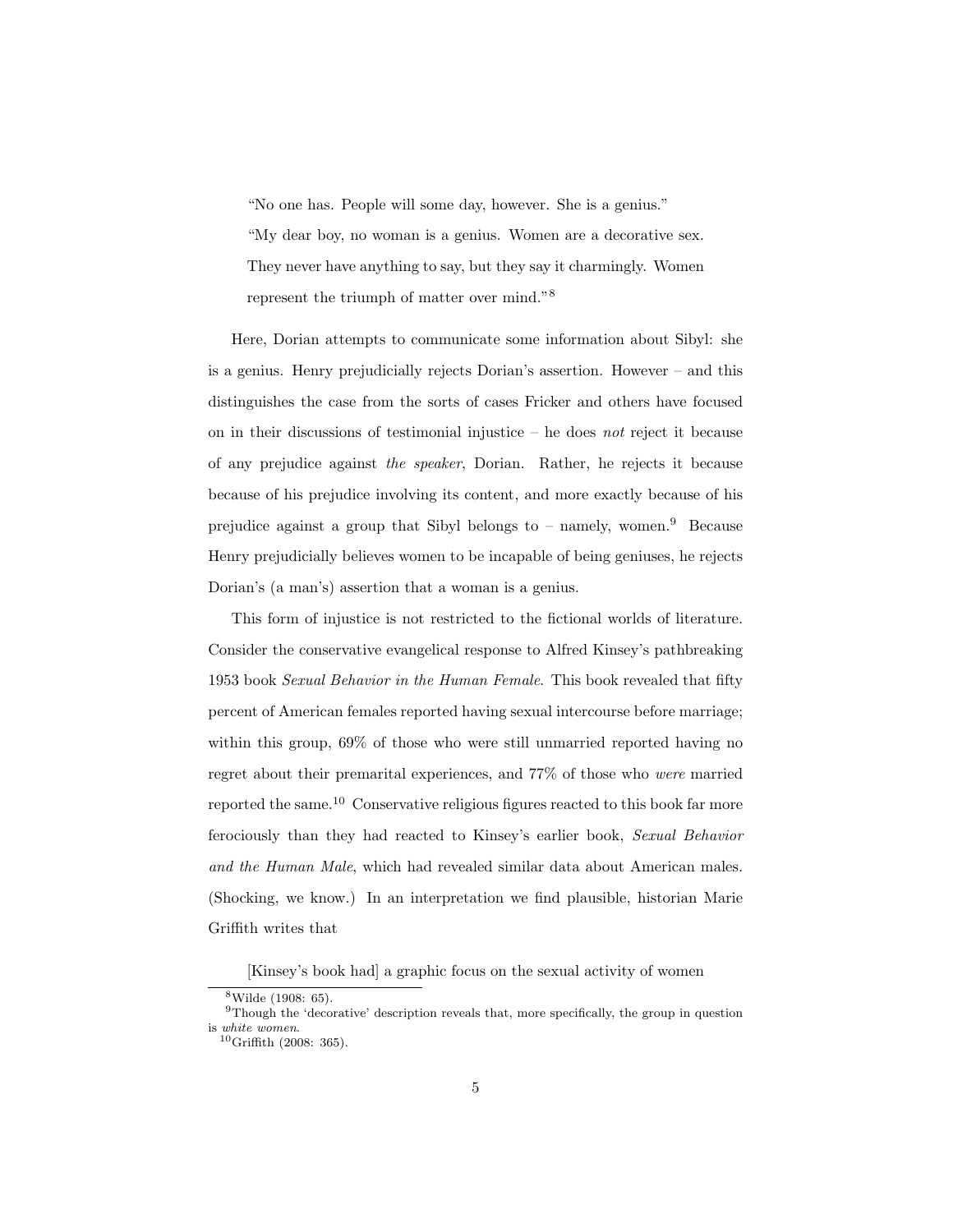"No one has. People will some day, however. She is a genius." "My dear boy, no woman is a genius. Women are a decorative sex. They never have anything to say, but they say it charmingly. Women represent the triumph of matter over mind."[8](#page-0-0)

Here, Dorian attempts to communicate some information about Sibyl: she is a genius. Henry prejudicially rejects Dorian's assertion. However – and this distinguishes the case from the sorts of cases Fricker and others have focused on in their discussions of testimonial injustice  $-$  he does not reject it because of any prejudice against the speaker, Dorian. Rather, he rejects it because because of his prejudice involving its content, and more exactly because of his prejudice against a group that Sibyl belongs to – namely, women.<sup>[9](#page-0-0)</sup> Because Henry prejudicially believes women to be incapable of being geniuses, he rejects Dorian's (a man's) assertion that a woman is a genius.

This form of injustice is not restricted to the fictional worlds of literature. Consider the conservative evangelical response to Alfred Kinsey's pathbreaking 1953 book Sexual Behavior in the Human Female. This book revealed that fifty percent of American females reported having sexual intercourse before marriage; within this group,  $69\%$  of those who were still unmarried reported having no regret about their premarital experiences, and 77% of those who were married reported the same.[10](#page-0-0) Conservative religious figures reacted to this book far more ferociously than they had reacted to Kinsey's earlier book, Sexual Behavior and the Human Male, which had revealed similar data about American males. (Shocking, we know.) In an interpretation we find plausible, historian Marie Griffith writes that

[Kinsey's book had] a graphic focus on the sexual activity of women

<sup>8</sup>Wilde (1908: 65).

 $9$ Though the 'decorative' description reveals that, more specifically, the group in question is white women.

 $10$ Griffith (2008: 365).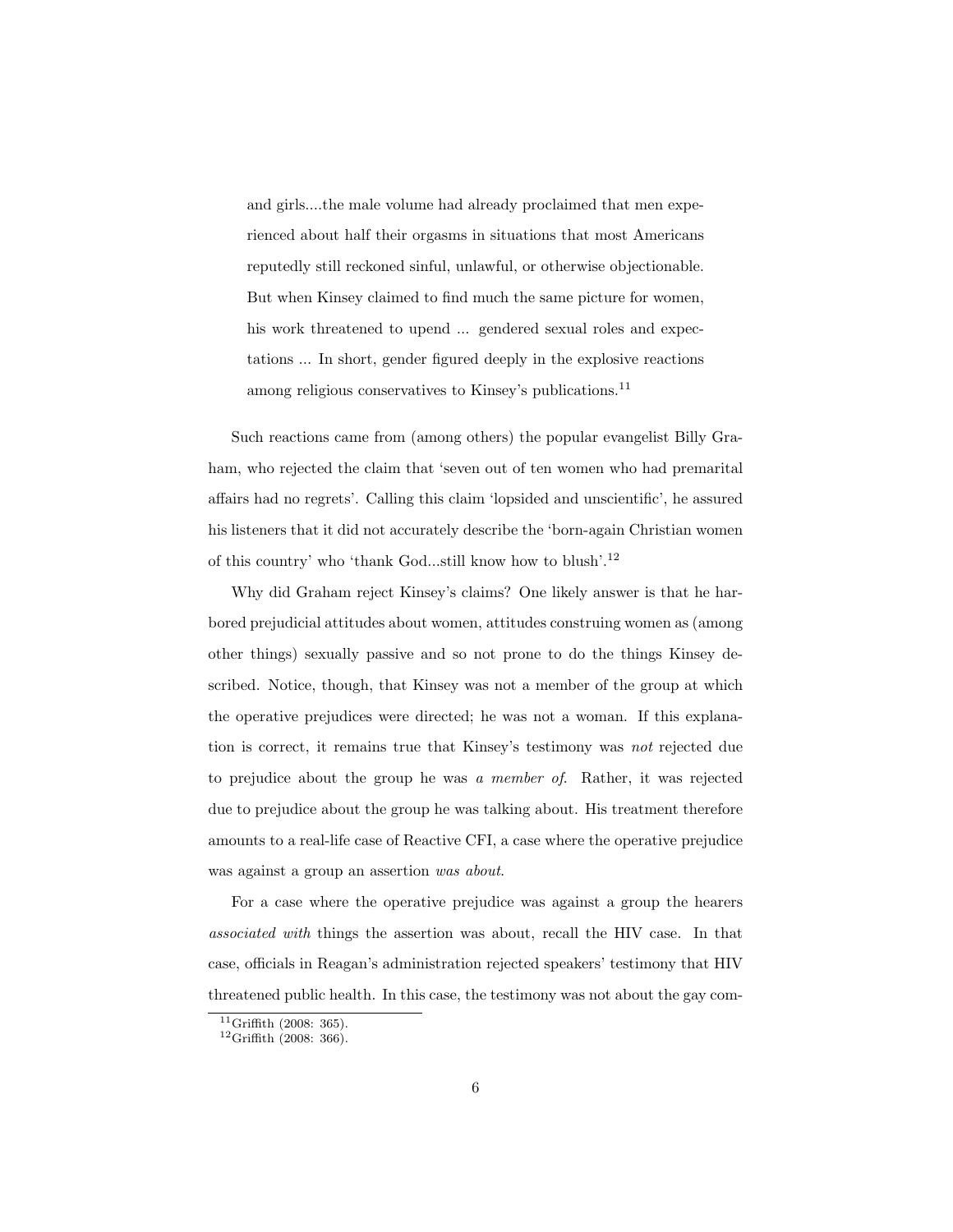and girls....the male volume had already proclaimed that men experienced about half their orgasms in situations that most Americans reputedly still reckoned sinful, unlawful, or otherwise objectionable. But when Kinsey claimed to find much the same picture for women, his work threatened to upend ... gendered sexual roles and expectations ... In short, gender figured deeply in the explosive reactions among religious conservatives to Kinsey's publications.<sup>[11](#page-0-0)</sup>

Such reactions came from (among others) the popular evangelist Billy Graham, who rejected the claim that 'seven out of ten women who had premarital affairs had no regrets'. Calling this claim 'lopsided and unscientific', he assured his listeners that it did not accurately describe the 'born-again Christian women of this country' who 'thank God...still know how to blush'.[12](#page-0-0)

Why did Graham reject Kinsey's claims? One likely answer is that he harbored prejudicial attitudes about women, attitudes construing women as (among other things) sexually passive and so not prone to do the things Kinsey described. Notice, though, that Kinsey was not a member of the group at which the operative prejudices were directed; he was not a woman. If this explanation is correct, it remains true that Kinsey's testimony was not rejected due to prejudice about the group he was a member of. Rather, it was rejected due to prejudice about the group he was talking about. His treatment therefore amounts to a real-life case of Reactive CFI, a case where the operative prejudice was against a group an assertion was about.

For a case where the operative prejudice was against a group the hearers associated with things the assertion was about, recall the HIV case. In that case, officials in Reagan's administration rejected speakers' testimony that HIV threatened public health. In this case, the testimony was not about the gay com-

 $11$ Griffith (2008: 365).

 $12$ Griffith (2008: 366).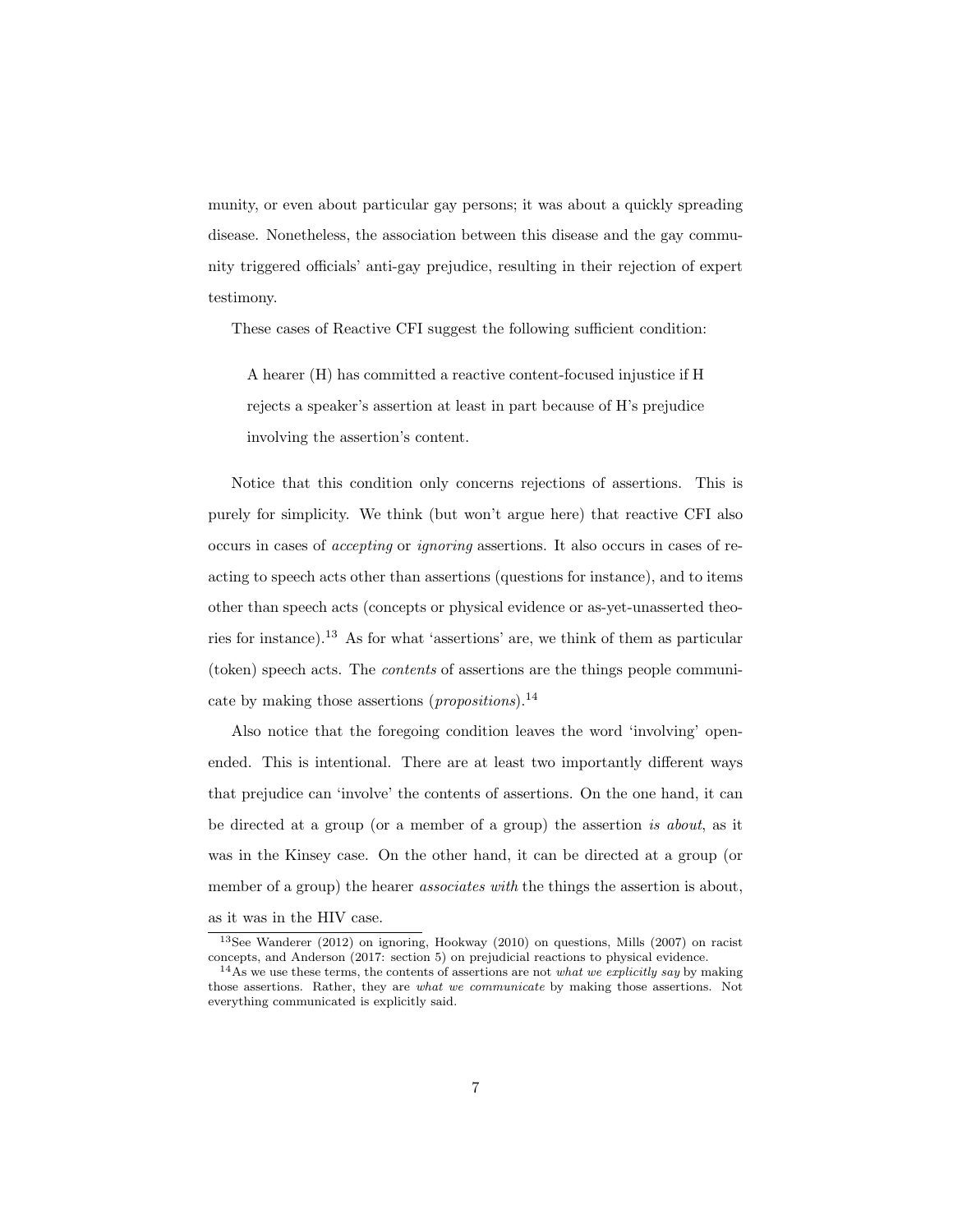munity, or even about particular gay persons; it was about a quickly spreading disease. Nonetheless, the association between this disease and the gay community triggered officials' anti-gay prejudice, resulting in their rejection of expert testimony.

These cases of Reactive CFI suggest the following sufficient condition:

A hearer (H) has committed a reactive content-focused injustice if H rejects a speaker's assertion at least in part because of H's prejudice involving the assertion's content.

Notice that this condition only concerns rejections of assertions. This is purely for simplicity. We think (but won't argue here) that reactive CFI also occurs in cases of accepting or ignoring assertions. It also occurs in cases of reacting to speech acts other than assertions (questions for instance), and to items other than speech acts (concepts or physical evidence or as-yet-unasserted theories for instance).[13](#page-0-0) As for what 'assertions' are, we think of them as particular (token) speech acts. The contents of assertions are the things people communicate by making those assertions (*propositions*).<sup>[14](#page-0-0)</sup>

Also notice that the foregoing condition leaves the word 'involving' openended. This is intentional. There are at least two importantly different ways that prejudice can 'involve' the contents of assertions. On the one hand, it can be directed at a group (or a member of a group) the assertion is about, as it was in the Kinsey case. On the other hand, it can be directed at a group (or member of a group) the hearer *associates with* the things the assertion is about, as it was in the HIV case.

<sup>13</sup>See Wanderer (2012) on ignoring, Hookway (2010) on questions, Mills (2007) on racist concepts, and Anderson (2017: section 5) on prejudicial reactions to physical evidence.

 $14$ As we use these terms, the contents of assertions are not *what we explicitly say* by making those assertions. Rather, they are *what we communicate* by making those assertions. Not everything communicated is explicitly said.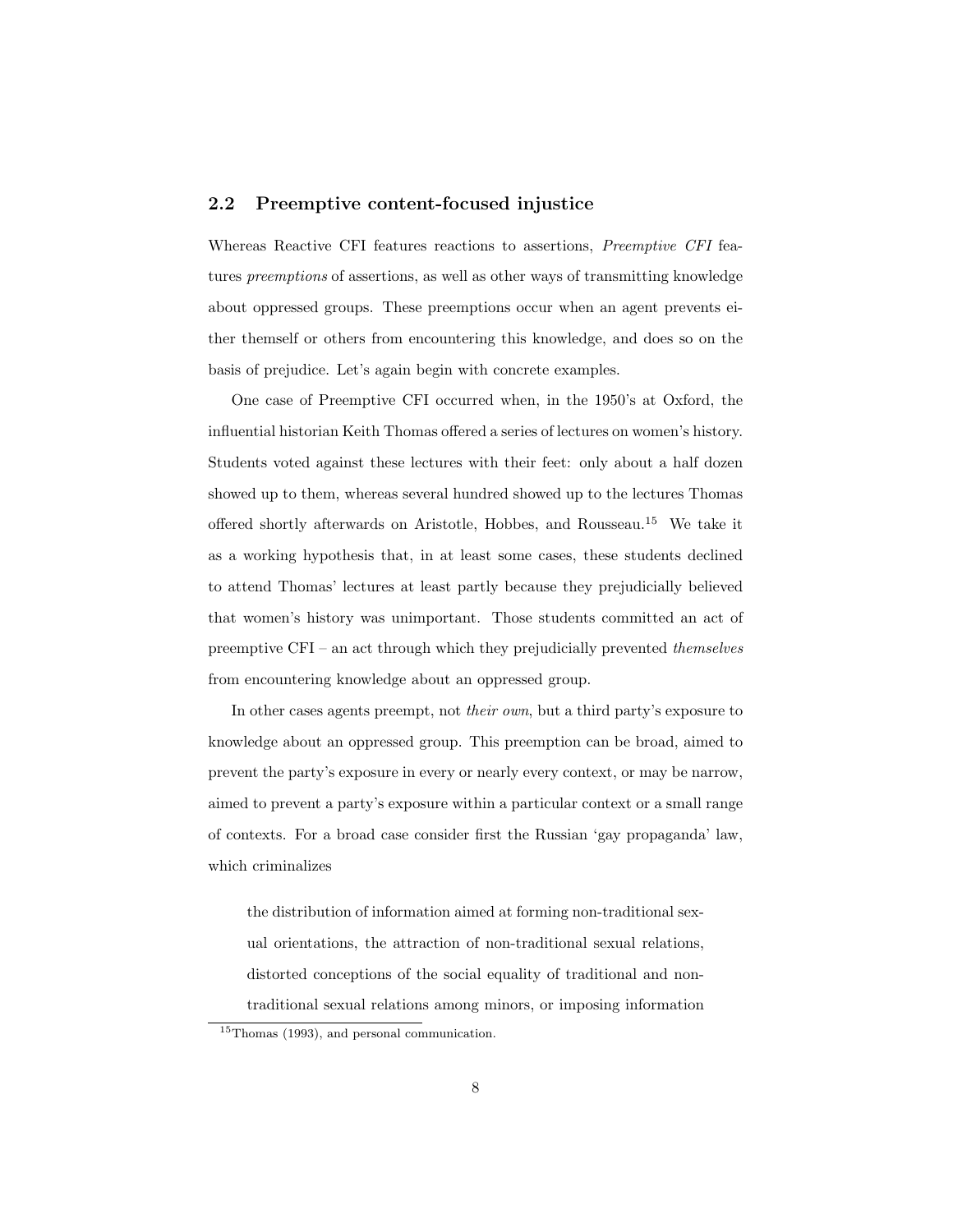### 2.2 Preemptive content-focused injustice

Whereas Reactive CFI features reactions to assertions, Preemptive CFI features preemptions of assertions, as well as other ways of transmitting knowledge about oppressed groups. These preemptions occur when an agent prevents either themself or others from encountering this knowledge, and does so on the basis of prejudice. Let's again begin with concrete examples.

One case of Preemptive CFI occurred when, in the 1950's at Oxford, the influential historian Keith Thomas offered a series of lectures on women's history. Students voted against these lectures with their feet: only about a half dozen showed up to them, whereas several hundred showed up to the lectures Thomas offered shortly afterwards on Aristotle, Hobbes, and Rousseau.[15](#page-0-0) We take it as a working hypothesis that, in at least some cases, these students declined to attend Thomas' lectures at least partly because they prejudicially believed that women's history was unimportant. Those students committed an act of preemptive CFI – an act through which they prejudicially prevented themselves from encountering knowledge about an oppressed group.

In other cases agents preempt, not their own, but a third party's exposure to knowledge about an oppressed group. This preemption can be broad, aimed to prevent the party's exposure in every or nearly every context, or may be narrow, aimed to prevent a party's exposure within a particular context or a small range of contexts. For a broad case consider first the Russian 'gay propaganda' law, which criminalizes

the distribution of information aimed at forming non-traditional sexual orientations, the attraction of non-traditional sexual relations, distorted conceptions of the social equality of traditional and nontraditional sexual relations among minors, or imposing information

<sup>15</sup>Thomas (1993), and personal communication.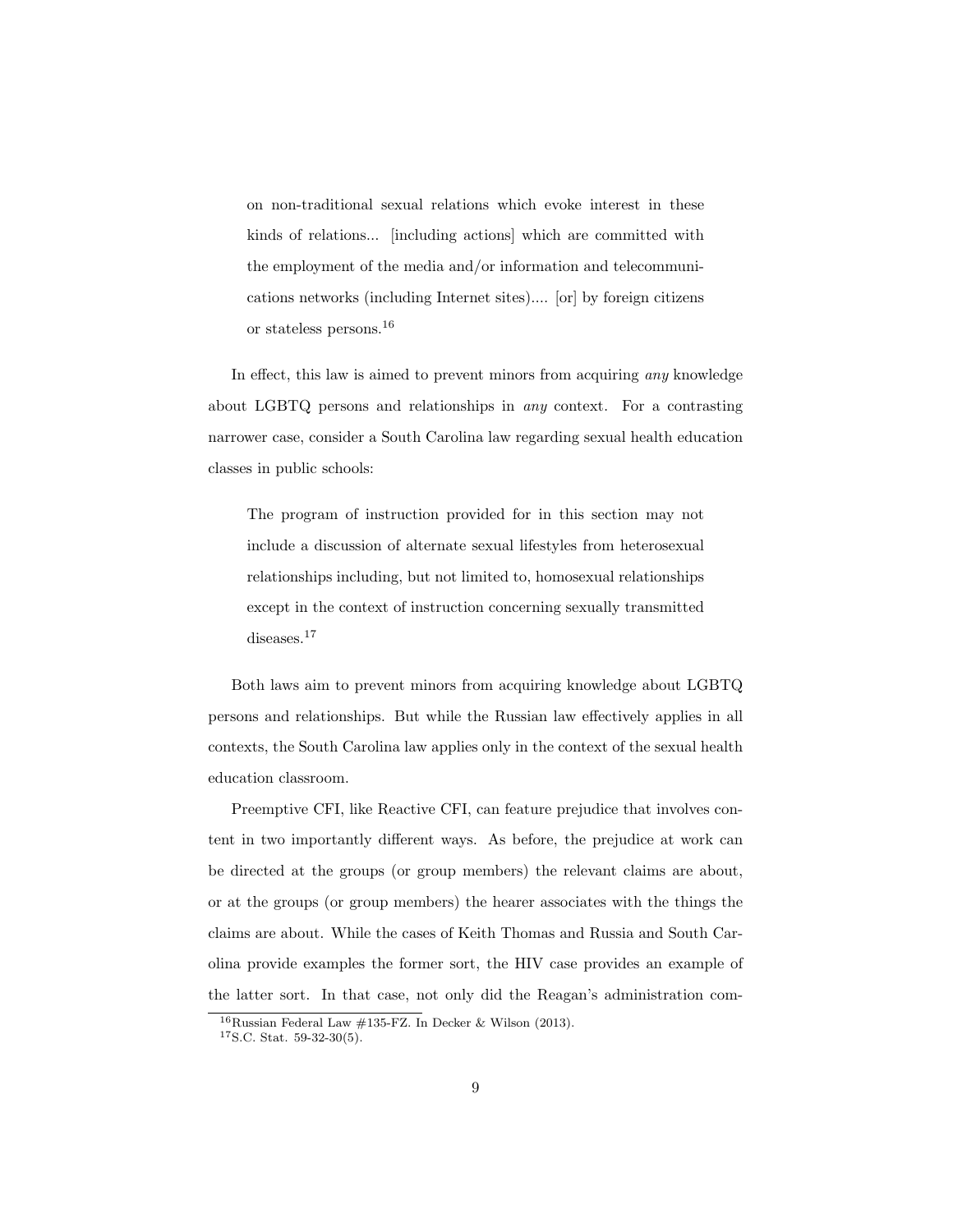on non-traditional sexual relations which evoke interest in these kinds of relations... [including actions] which are committed with the employment of the media and/or information and telecommunications networks (including Internet sites).... [or] by foreign citizens or stateless persons.[16](#page-0-0)

In effect, this law is aimed to prevent minors from acquiring any knowledge about LGBTQ persons and relationships in any context. For a contrasting narrower case, consider a South Carolina law regarding sexual health education classes in public schools:

The program of instruction provided for in this section may not include a discussion of alternate sexual lifestyles from heterosexual relationships including, but not limited to, homosexual relationships except in the context of instruction concerning sexually transmitted diseases.<sup>[17](#page-0-0)</sup>

Both laws aim to prevent minors from acquiring knowledge about LGBTQ persons and relationships. But while the Russian law effectively applies in all contexts, the South Carolina law applies only in the context of the sexual health education classroom.

Preemptive CFI, like Reactive CFI, can feature prejudice that involves content in two importantly different ways. As before, the prejudice at work can be directed at the groups (or group members) the relevant claims are about, or at the groups (or group members) the hearer associates with the things the claims are about. While the cases of Keith Thomas and Russia and South Carolina provide examples the former sort, the HIV case provides an example of the latter sort. In that case, not only did the Reagan's administration com-

<sup>&</sup>lt;sup>16</sup>Russian Federal Law  $\#135$ -FZ. In Decker & Wilson (2013).

<sup>17</sup>S.C. Stat. 59-32-30(5).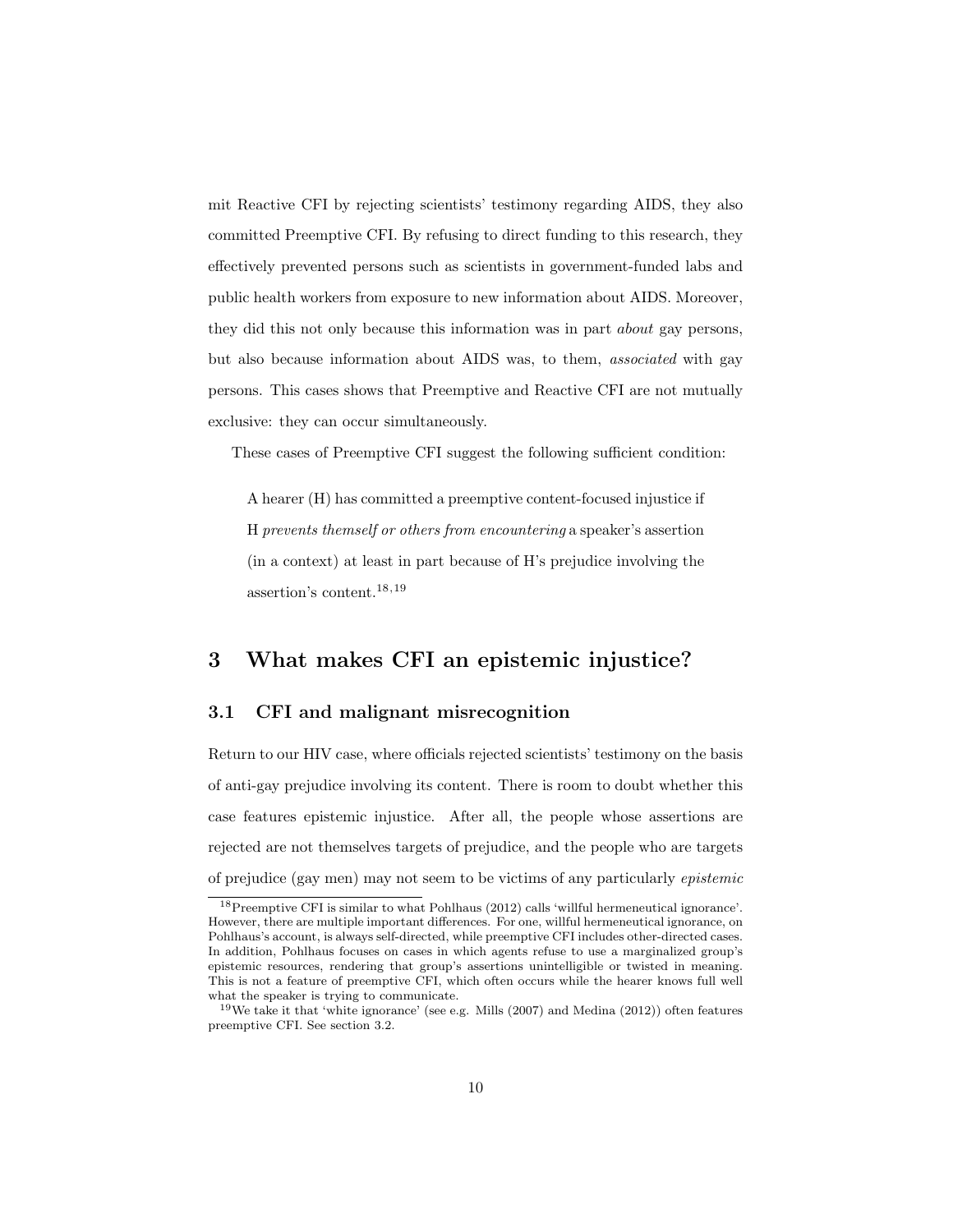mit Reactive CFI by rejecting scientists' testimony regarding AIDS, they also committed Preemptive CFI. By refusing to direct funding to this research, they effectively prevented persons such as scientists in government-funded labs and public health workers from exposure to new information about AIDS. Moreover, they did this not only because this information was in part about gay persons, but also because information about AIDS was, to them, associated with gay persons. This cases shows that Preemptive and Reactive CFI are not mutually exclusive: they can occur simultaneously.

These cases of Preemptive CFI suggest the following sufficient condition:

A hearer (H) has committed a preemptive content-focused injustice if H prevents themself or others from encountering a speaker's assertion (in a context) at least in part because of H's prejudice involving the assertion's content.[18,19](#page-0-0)

## 3 What makes CFI an epistemic injustice?

### 3.1 CFI and malignant misrecognition

Return to our HIV case, where officials rejected scientists' testimony on the basis of anti-gay prejudice involving its content. There is room to doubt whether this case features epistemic injustice. After all, the people whose assertions are rejected are not themselves targets of prejudice, and the people who are targets of prejudice (gay men) may not seem to be victims of any particularly epistemic

<sup>18</sup>Preemptive CFI is similar to what Pohlhaus (2012) calls 'willful hermeneutical ignorance'. However, there are multiple important differences. For one, willful hermeneutical ignorance, on Pohlhaus's account, is always self-directed, while preemptive CFI includes other-directed cases. In addition, Pohlhaus focuses on cases in which agents refuse to use a marginalized group's epistemic resources, rendering that group's assertions unintelligible or twisted in meaning. This is not a feature of preemptive CFI, which often occurs while the hearer knows full well what the speaker is trying to communicate.

<sup>&</sup>lt;sup>19</sup>We take it that 'white ignorance' (see e.g. Mills  $(2007)$  and Medina  $(2012)$ ) often features preemptive CFI. See section 3.2.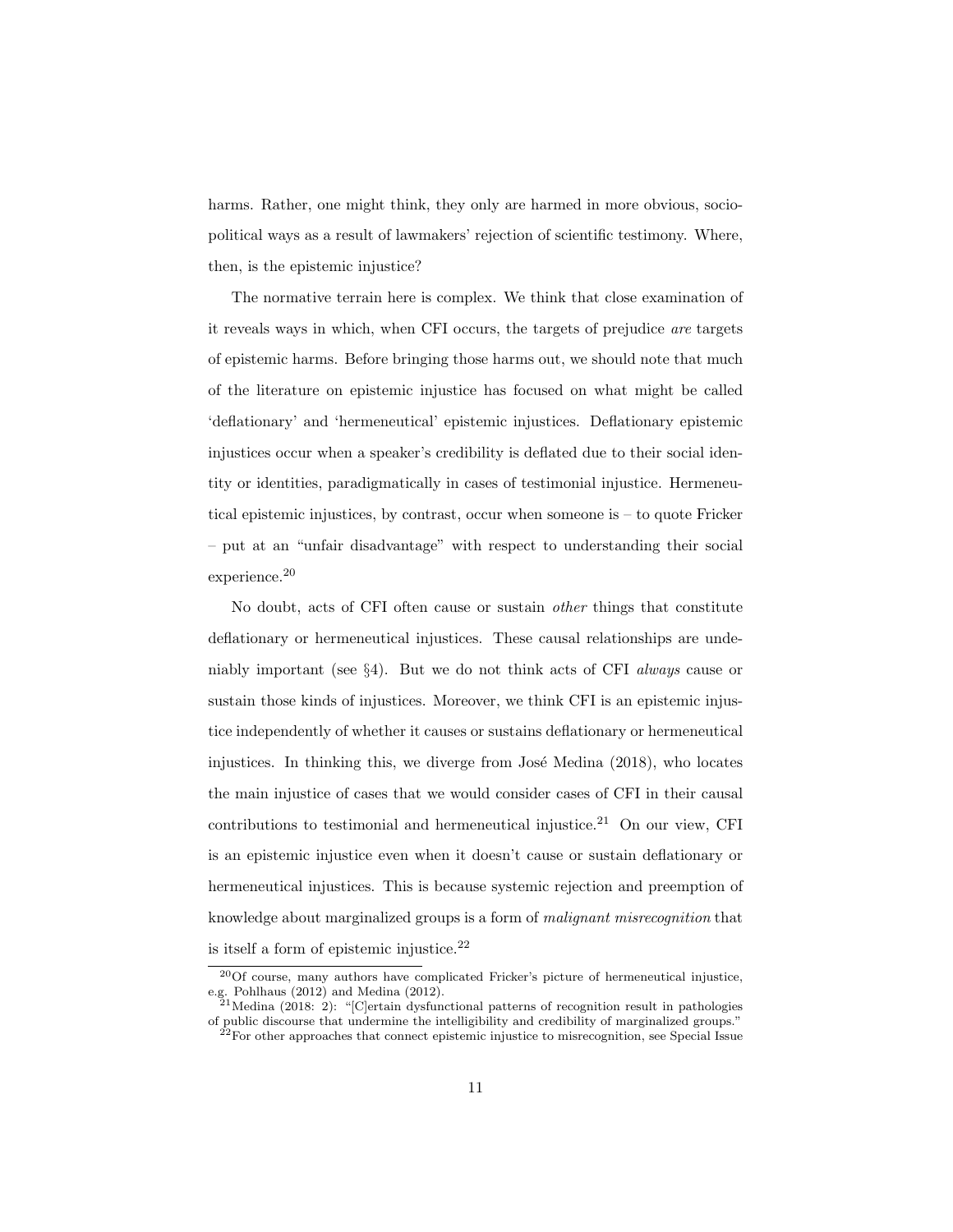harms. Rather, one might think, they only are harmed in more obvious, sociopolitical ways as a result of lawmakers' rejection of scientific testimony. Where, then, is the epistemic injustice?

The normative terrain here is complex. We think that close examination of it reveals ways in which, when CFI occurs, the targets of prejudice are targets of epistemic harms. Before bringing those harms out, we should note that much of the literature on epistemic injustice has focused on what might be called 'deflationary' and 'hermeneutical' epistemic injustices. Deflationary epistemic injustices occur when a speaker's credibility is deflated due to their social identity or identities, paradigmatically in cases of testimonial injustice. Hermeneutical epistemic injustices, by contrast, occur when someone is – to quote Fricker – put at an "unfair disadvantage" with respect to understanding their social experience.<sup>[20](#page-0-0)</sup>

No doubt, acts of CFI often cause or sustain other things that constitute deflationary or hermeneutical injustices. These causal relationships are undeniably important (see §4). But we do not think acts of CFI always cause or sustain those kinds of injustices. Moreover, we think CFI is an epistemic injustice independently of whether it causes or sustains deflationary or hermeneutical injustices. In thinking this, we diverge from José Medina (2018), who locates the main injustice of cases that we would consider cases of CFI in their causal contributions to testimonial and hermeneutical injustice.<sup>[21](#page-0-0)</sup> On our view, CFI is an epistemic injustice even when it doesn't cause or sustain deflationary or hermeneutical injustices. This is because systemic rejection and preemption of knowledge about marginalized groups is a form of malignant misrecognition that is itself a form of epistemic injustice. $^{22}$  $^{22}$  $^{22}$ 

 $20$ Of course, many authors have complicated Fricker's picture of hermeneutical injustice, e.g. Pohlhaus (2012) and Medina (2012).

<sup>&</sup>lt;sup>21</sup> Medina (2018: 2): "[C]ertain dysfunctional patterns of recognition result in pathologies of public discourse that undermine the intelligibility and credibility of marginalized groups."  $22$  For other approaches that connect epistemic injustice to misrecognition, see Special Issue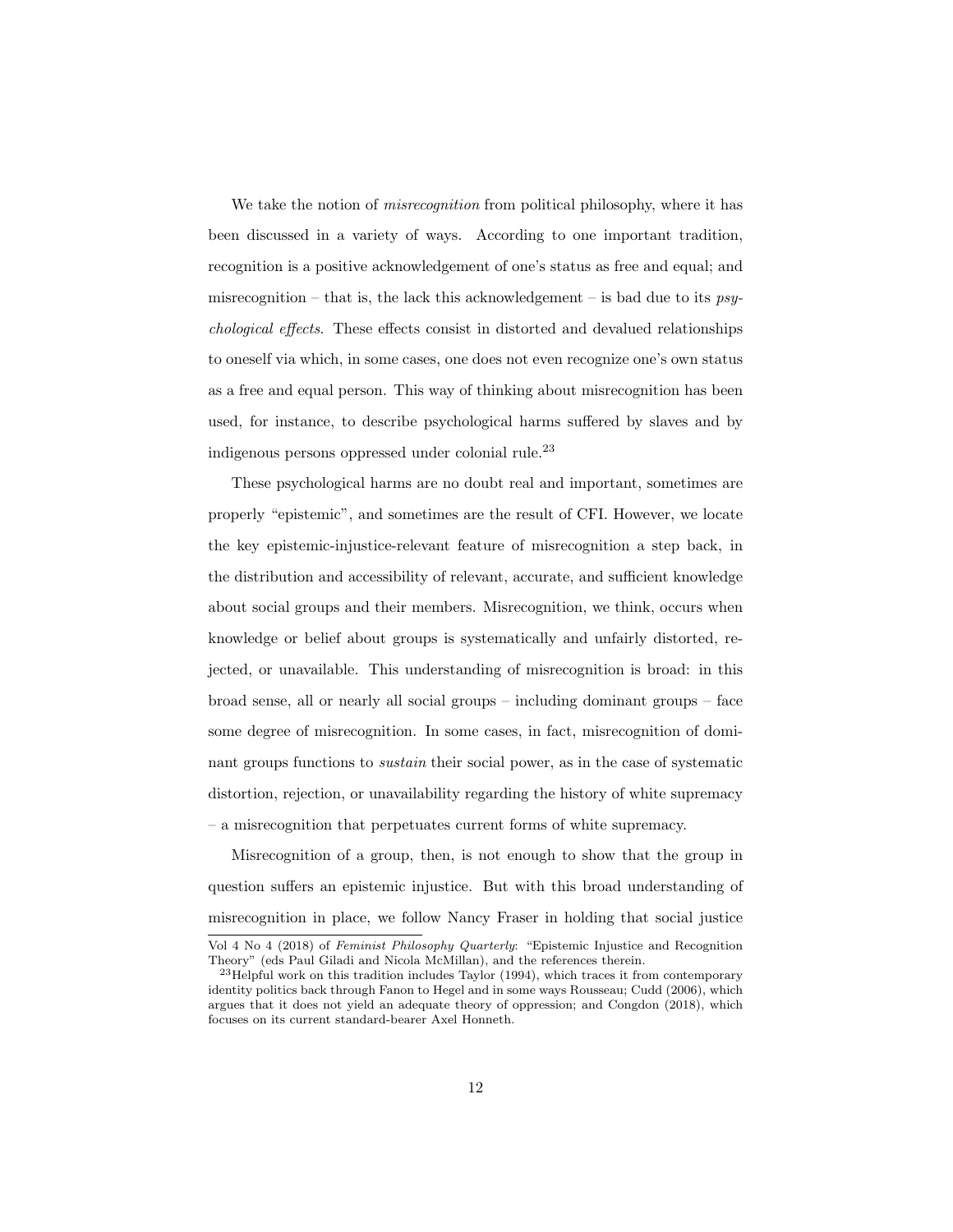We take the notion of *misrecognition* from political philosophy, where it has been discussed in a variety of ways. According to one important tradition, recognition is a positive acknowledgement of one's status as free and equal; and misrecognition – that is, the lack this acknowledgement – is bad due to its  $psy$ chological effects. These effects consist in distorted and devalued relationships to oneself via which, in some cases, one does not even recognize one's own status as a free and equal person. This way of thinking about misrecognition has been used, for instance, to describe psychological harms suffered by slaves and by indigenous persons oppressed under colonial rule.[23](#page-0-0)

These psychological harms are no doubt real and important, sometimes are properly "epistemic", and sometimes are the result of CFI. However, we locate the key epistemic-injustice-relevant feature of misrecognition a step back, in the distribution and accessibility of relevant, accurate, and sufficient knowledge about social groups and their members. Misrecognition, we think, occurs when knowledge or belief about groups is systematically and unfairly distorted, rejected, or unavailable. This understanding of misrecognition is broad: in this broad sense, all or nearly all social groups – including dominant groups – face some degree of misrecognition. In some cases, in fact, misrecognition of dominant groups functions to sustain their social power, as in the case of systematic distortion, rejection, or unavailability regarding the history of white supremacy – a misrecognition that perpetuates current forms of white supremacy.

Misrecognition of a group, then, is not enough to show that the group in question suffers an epistemic injustice. But with this broad understanding of misrecognition in place, we follow Nancy Fraser in holding that social justice Vol 4 No 4 (2018) of Feminist Philosophy Quarterly: "Epistemic Injustice and Recognition

Theory" (eds Paul Giladi and Nicola McMillan), and the references therein.

<sup>&</sup>lt;sup>23</sup>Helpful work on this tradition includes Taylor (1994), which traces it from contemporary identity politics back through Fanon to Hegel and in some ways Rousseau; Cudd (2006), which argues that it does not yield an adequate theory of oppression; and Congdon (2018), which focuses on its current standard-bearer Axel Honneth.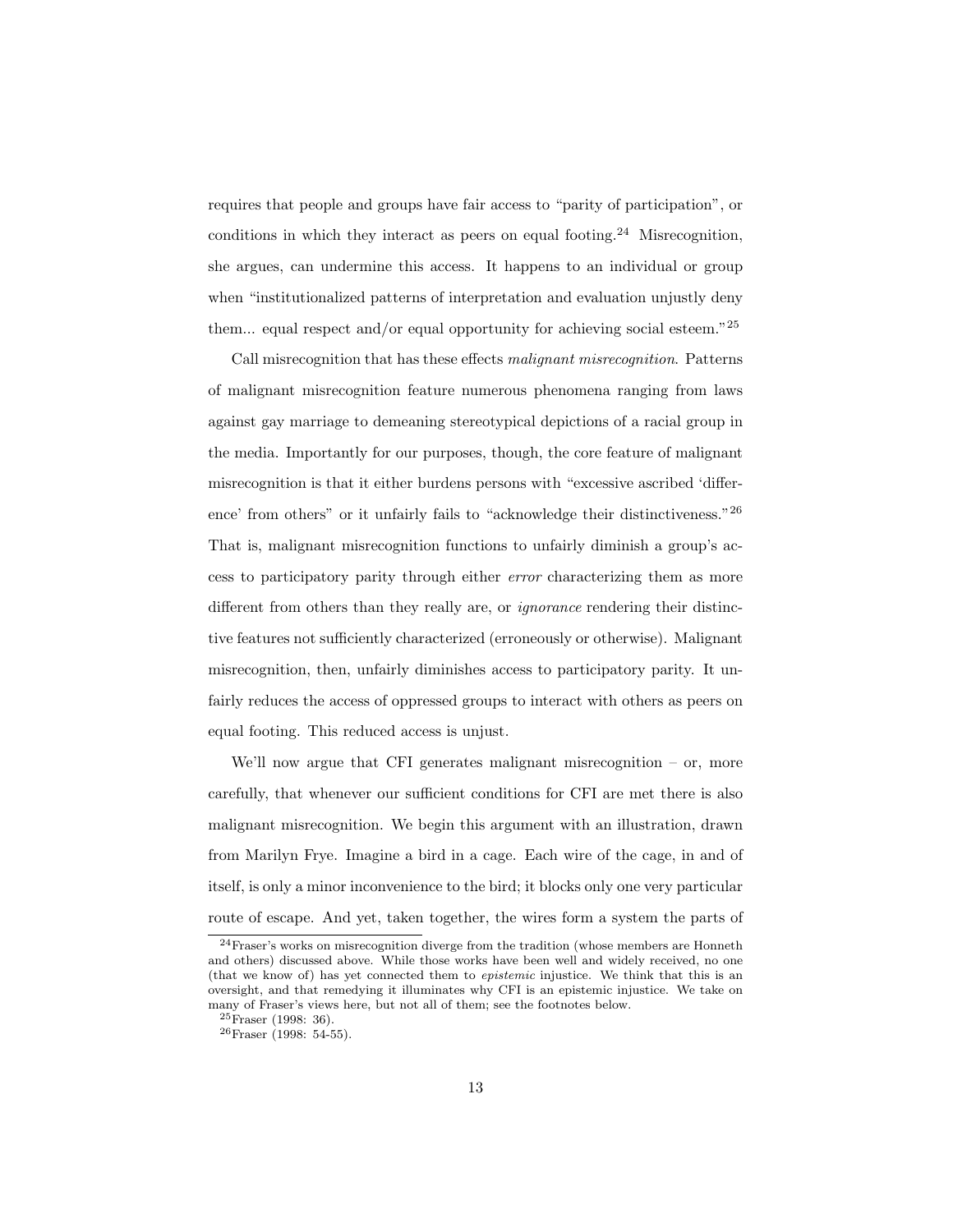requires that people and groups have fair access to "parity of participation", or conditions in which they interact as peers on equal footing.<sup>[24](#page-0-0)</sup> Misrecognition, she argues, can undermine this access. It happens to an individual or group when "institutionalized patterns of interpretation and evaluation unjustly deny them... equal respect and/or equal opportunity for achieving social esteem." $^{25}$  $^{25}$  $^{25}$ 

Call misrecognition that has these effects malignant misrecognition. Patterns of malignant misrecognition feature numerous phenomena ranging from laws against gay marriage to demeaning stereotypical depictions of a racial group in the media. Importantly for our purposes, though, the core feature of malignant misrecognition is that it either burdens persons with "excessive ascribed 'difference' from others" or it unfairly fails to "acknowledge their distinctiveness."[26](#page-0-0) That is, malignant misrecognition functions to unfairly diminish a group's access to participatory parity through either error characterizing them as more different from others than they really are, or ignorance rendering their distinctive features not sufficiently characterized (erroneously or otherwise). Malignant misrecognition, then, unfairly diminishes access to participatory parity. It unfairly reduces the access of oppressed groups to interact with others as peers on equal footing. This reduced access is unjust.

We'll now argue that CFI generates malignant misrecognition  $-$  or, more carefully, that whenever our sufficient conditions for CFI are met there is also malignant misrecognition. We begin this argument with an illustration, drawn from Marilyn Frye. Imagine a bird in a cage. Each wire of the cage, in and of itself, is only a minor inconvenience to the bird; it blocks only one very particular route of escape. And yet, taken together, the wires form a system the parts of

 $^{24}$ Fraser's works on misrecognition diverge from the tradition (whose members are Honneth and others) discussed above. While those works have been well and widely received, no one (that we know of) has yet connected them to epistemic injustice. We think that this is an oversight, and that remedying it illuminates why CFI is an epistemic injustice. We take on many of Fraser's views here, but not all of them; see the footnotes below.

 $25$ Fraser (1998: 36).

<sup>26</sup>Fraser (1998: 54-55).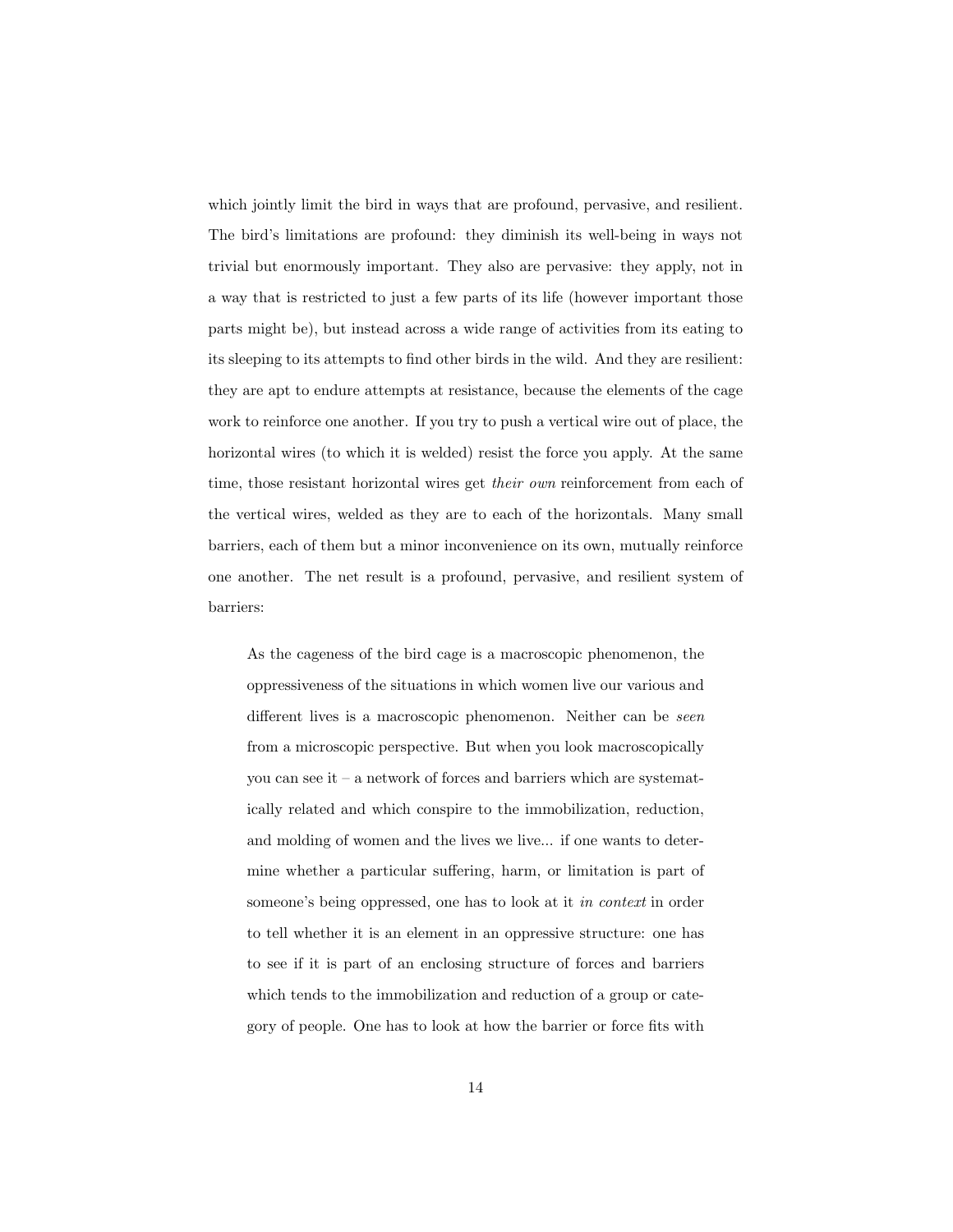which jointly limit the bird in ways that are profound, pervasive, and resilient. The bird's limitations are profound: they diminish its well-being in ways not trivial but enormously important. They also are pervasive: they apply, not in a way that is restricted to just a few parts of its life (however important those parts might be), but instead across a wide range of activities from its eating to its sleeping to its attempts to find other birds in the wild. And they are resilient: they are apt to endure attempts at resistance, because the elements of the cage work to reinforce one another. If you try to push a vertical wire out of place, the horizontal wires (to which it is welded) resist the force you apply. At the same time, those resistant horizontal wires get *their own* reinforcement from each of the vertical wires, welded as they are to each of the horizontals. Many small barriers, each of them but a minor inconvenience on its own, mutually reinforce one another. The net result is a profound, pervasive, and resilient system of barriers:

As the cageness of the bird cage is a macroscopic phenomenon, the oppressiveness of the situations in which women live our various and different lives is a macroscopic phenomenon. Neither can be seen from a microscopic perspective. But when you look macroscopically you can see it – a network of forces and barriers which are systematically related and which conspire to the immobilization, reduction, and molding of women and the lives we live... if one wants to determine whether a particular suffering, harm, or limitation is part of someone's being oppressed, one has to look at it in context in order to tell whether it is an element in an oppressive structure: one has to see if it is part of an enclosing structure of forces and barriers which tends to the immobilization and reduction of a group or category of people. One has to look at how the barrier or force fits with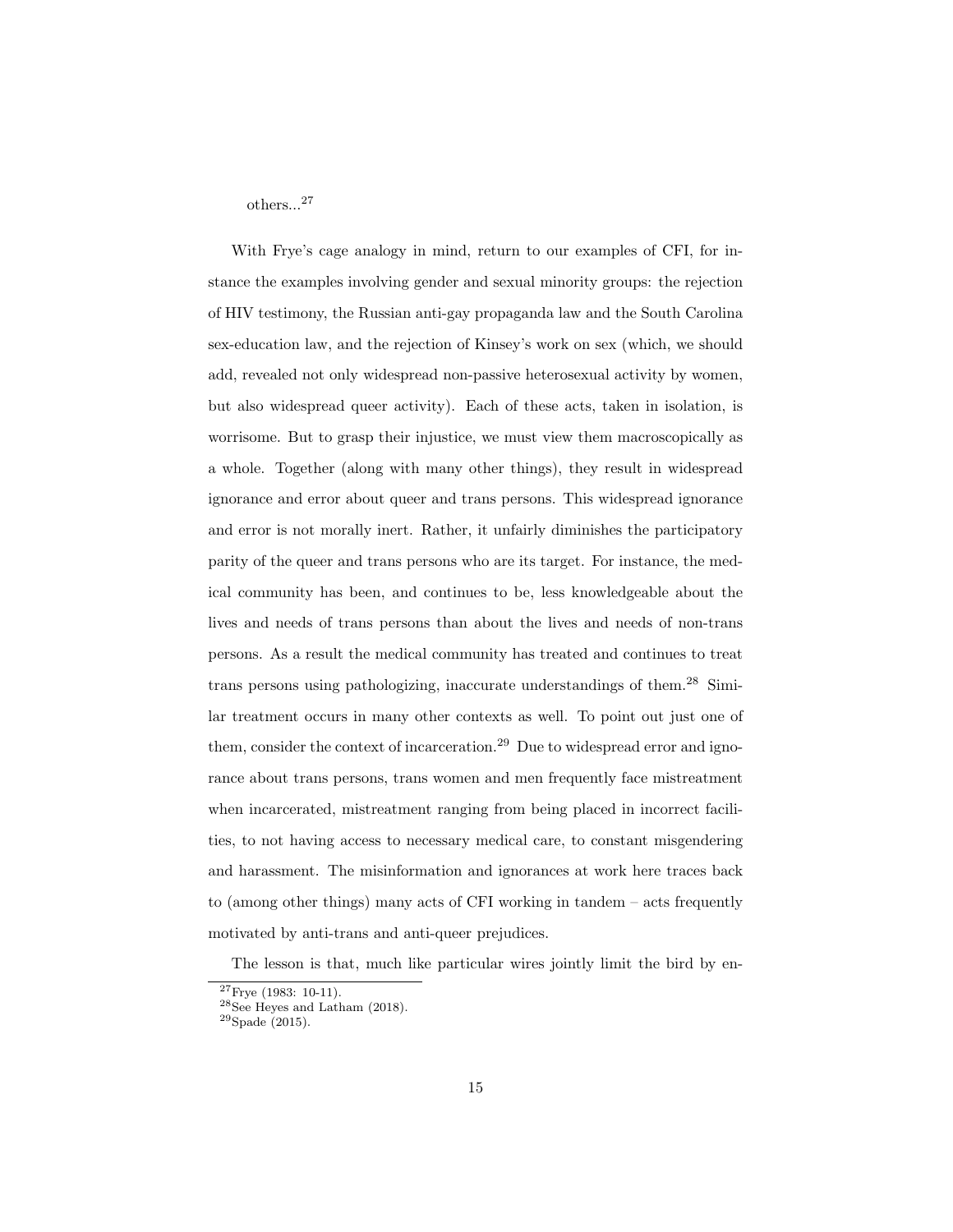others...[27](#page-0-0)

With Frye's cage analogy in mind, return to our examples of CFI, for instance the examples involving gender and sexual minority groups: the rejection of HIV testimony, the Russian anti-gay propaganda law and the South Carolina sex-education law, and the rejection of Kinsey's work on sex (which, we should add, revealed not only widespread non-passive heterosexual activity by women, but also widespread queer activity). Each of these acts, taken in isolation, is worrisome. But to grasp their injustice, we must view them macroscopically as a whole. Together (along with many other things), they result in widespread ignorance and error about queer and trans persons. This widespread ignorance and error is not morally inert. Rather, it unfairly diminishes the participatory parity of the queer and trans persons who are its target. For instance, the medical community has been, and continues to be, less knowledgeable about the lives and needs of trans persons than about the lives and needs of non-trans persons. As a result the medical community has treated and continues to treat trans persons using pathologizing, inaccurate understandings of them.[28](#page-0-0) Similar treatment occurs in many other contexts as well. To point out just one of them, consider the context of incarceration.<sup>[29](#page-0-0)</sup> Due to widespread error and ignorance about trans persons, trans women and men frequently face mistreatment when incarcerated, mistreatment ranging from being placed in incorrect facilities, to not having access to necessary medical care, to constant misgendering and harassment. The misinformation and ignorances at work here traces back to (among other things) many acts of CFI working in tandem – acts frequently motivated by anti-trans and anti-queer prejudices.

The lesson is that, much like particular wires jointly limit the bird by en-

 $27$ Frye (1983: 10-11).

<sup>28</sup>See Heyes and Latham (2018).

<sup>29</sup>Spade (2015).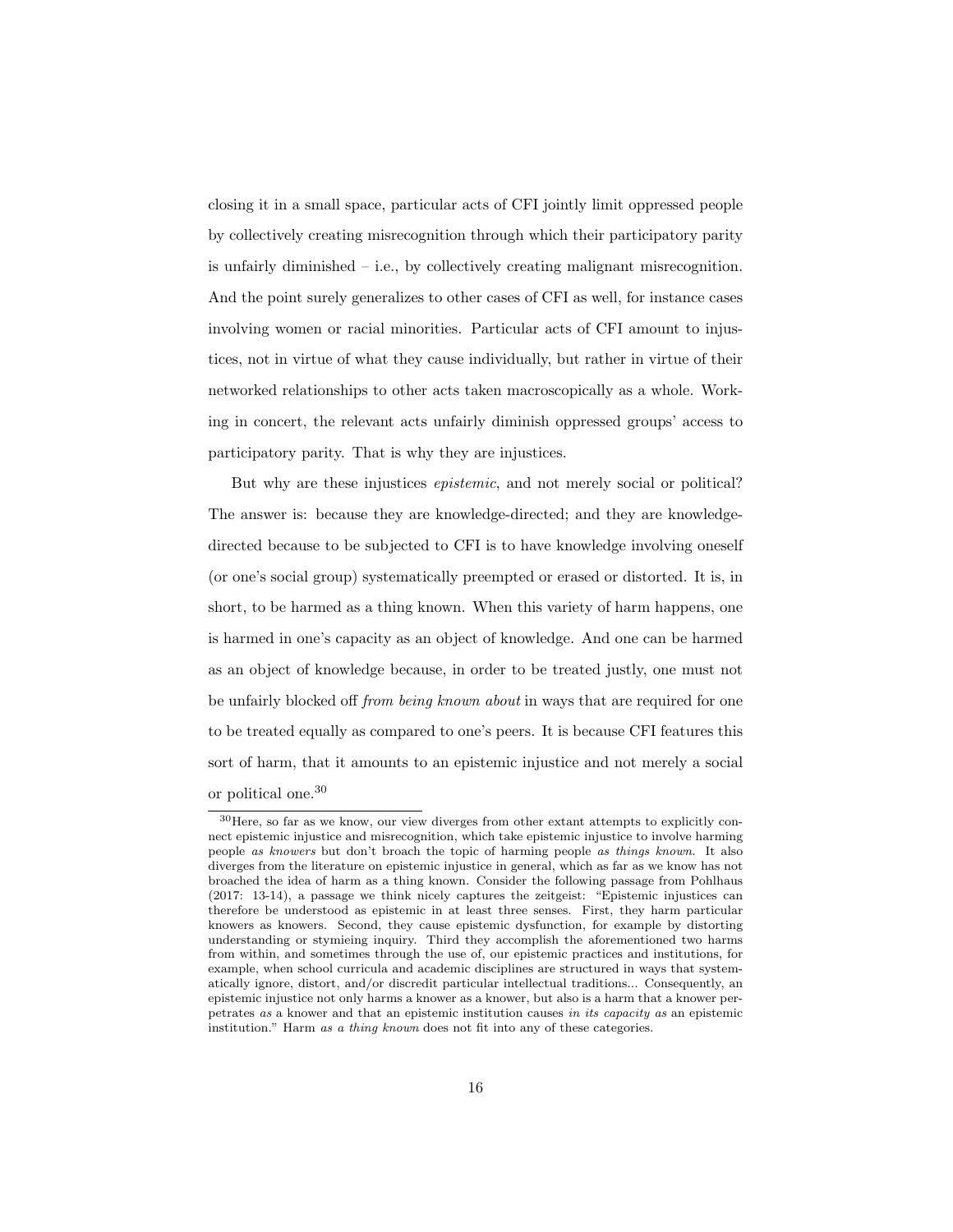closing it in a small space, particular acts of CFI jointly limit oppressed people by collectively creating misrecognition through which their participatory parity is unfairly diminished  $-$  i.e., by collectively creating malignant misrecognition. And the point surely generalizes to other cases of CFI as well, for instance cases involving women or racial minorities. Particular acts of CFI amount to injustices, not in virtue of what they cause individually, but rather in virtue of their networked relationships to other acts taken macroscopically as a whole. Working in concert, the relevant acts unfairly diminish oppressed groups' access to participatory parity. That is why they are injustices.

But why are these injustices epistemic, and not merely social or political? The answer is: because they are knowledge-directed; and they are knowledgedirected because to be subjected to CFI is to have knowledge involving oneself (or one's social group) systematically preempted or erased or distorted. It is, in short, to be harmed as a thing known. When this variety of harm happens, one is harmed in one's capacity as an object of knowledge. And one can be harmed as an object of knowledge because, in order to be treated justly, one must not be unfairly blocked off from being known about in ways that are required for one to be treated equally as compared to one's peers. It is because CFI features this sort of harm, that it amounts to an epistemic injustice and not merely a social or political one.[30](#page-0-0)

<sup>30</sup>Here, so far as we know, our view diverges from other extant attempts to explicitly connect epistemic injustice and misrecognition, which take epistemic injustice to involve harming people as knowers but don't broach the topic of harming people as things known. It also diverges from the literature on epistemic injustice in general, which as far as we know has not broached the idea of harm as a thing known. Consider the following passage from Pohlhaus (2017: 13-14), a passage we think nicely captures the zeitgeist: "Epistemic injustices can therefore be understood as epistemic in at least three senses. First, they harm particular knowers as knowers. Second, they cause epistemic dysfunction, for example by distorting understanding or stymieing inquiry. Third they accomplish the aforementioned two harms from within, and sometimes through the use of, our epistemic practices and institutions, for example, when school curricula and academic disciplines are structured in ways that systematically ignore, distort, and/or discredit particular intellectual traditions... Consequently, an epistemic injustice not only harms a knower as a knower, but also is a harm that a knower perpetrates as a knower and that an epistemic institution causes in its capacity as an epistemic institution." Harm as a thing known does not fit into any of these categories.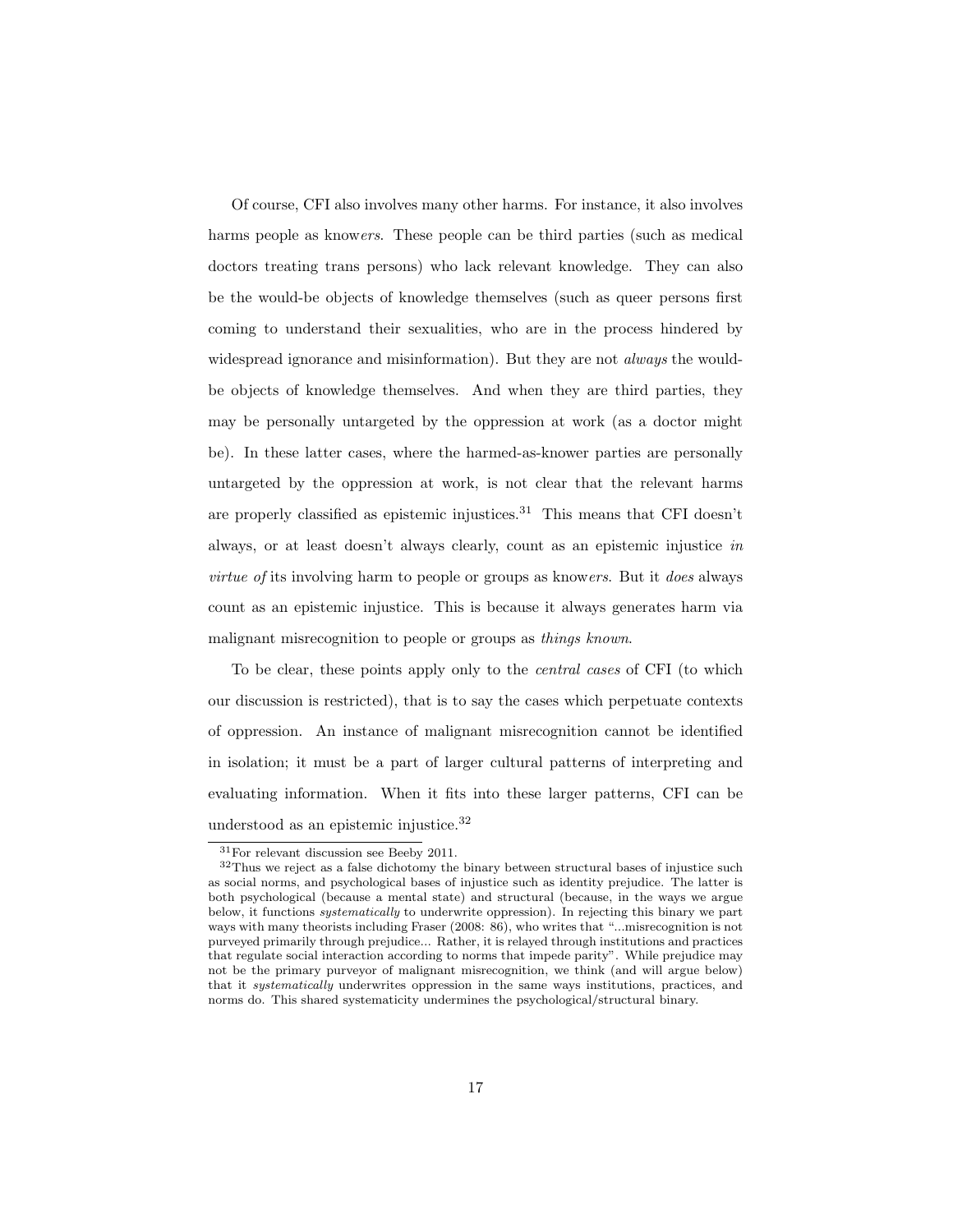Of course, CFI also involves many other harms. For instance, it also involves harms people as knowers. These people can be third parties (such as medical doctors treating trans persons) who lack relevant knowledge. They can also be the would-be objects of knowledge themselves (such as queer persons first coming to understand their sexualities, who are in the process hindered by widespread ignorance and misinformation). But they are not *always* the wouldbe objects of knowledge themselves. And when they are third parties, they may be personally untargeted by the oppression at work (as a doctor might be). In these latter cases, where the harmed-as-knower parties are personally untargeted by the oppression at work, is not clear that the relevant harms are properly classified as epistemic injustices.<sup>[31](#page-0-0)</sup> This means that CFI doesn't always, or at least doesn't always clearly, count as an epistemic injustice in virtue of its involving harm to people or groups as knowers. But it does always count as an epistemic injustice. This is because it always generates harm via malignant misrecognition to people or groups as things known.

To be clear, these points apply only to the central cases of CFI (to which our discussion is restricted), that is to say the cases which perpetuate contexts of oppression. An instance of malignant misrecognition cannot be identified in isolation; it must be a part of larger cultural patterns of interpreting and evaluating information. When it fits into these larger patterns, CFI can be understood as an epistemic injustice.[32](#page-0-0)

<sup>31</sup>For relevant discussion see Beeby 2011.

<sup>&</sup>lt;sup>32</sup>Thus we reject as a false dichotomy the binary between structural bases of injustice such as social norms, and psychological bases of injustice such as identity prejudice. The latter is both psychological (because a mental state) and structural (because, in the ways we argue below, it functions systematically to underwrite oppression). In rejecting this binary we part ways with many theorists including Fraser (2008: 86), who writes that "...misrecognition is not purveyed primarily through prejudice... Rather, it is relayed through institutions and practices that regulate social interaction according to norms that impede parity". While prejudice may not be the primary purveyor of malignant misrecognition, we think (and will argue below) that it *systematically* underwrites oppression in the same ways institutions, practices, and norms do. This shared systematicity undermines the psychological/structural binary.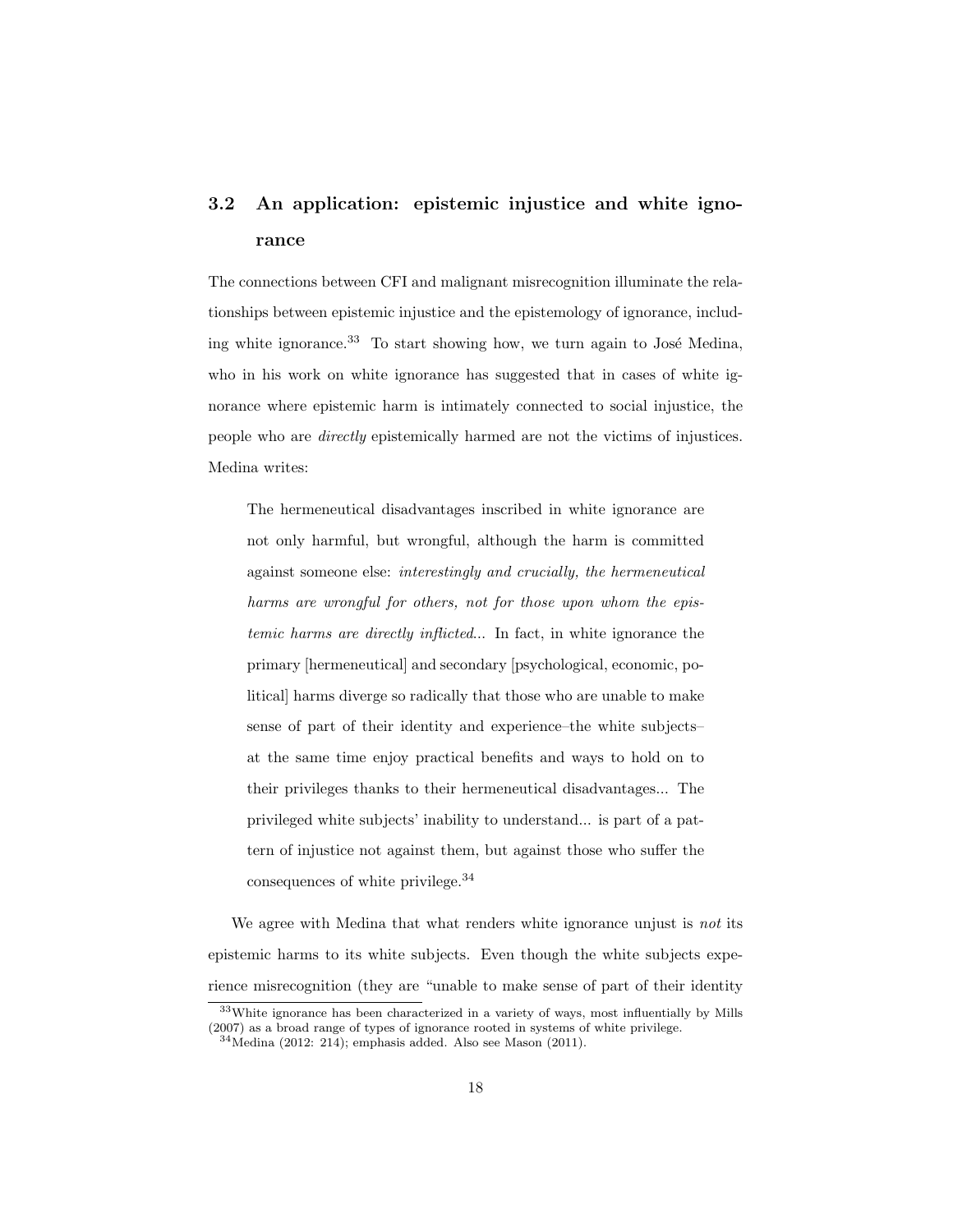# 3.2 An application: epistemic injustice and white ignorance

The connections between CFI and malignant misrecognition illuminate the relationships between epistemic injustice and the epistemology of ignorance, including white ignorance. $33$  To start showing how, we turn again to José Medina, who in his work on white ignorance has suggested that in cases of white ignorance where epistemic harm is intimately connected to social injustice, the people who are directly epistemically harmed are not the victims of injustices. Medina writes:

The hermeneutical disadvantages inscribed in white ignorance are not only harmful, but wrongful, although the harm is committed against someone else: interestingly and crucially, the hermeneutical harms are wrongful for others, not for those upon whom the epistemic harms are directly inflicted... In fact, in white ignorance the primary [hermeneutical] and secondary [psychological, economic, political] harms diverge so radically that those who are unable to make sense of part of their identity and experience–the white subjects– at the same time enjoy practical benefits and ways to hold on to their privileges thanks to their hermeneutical disadvantages... The privileged white subjects' inability to understand... is part of a pattern of injustice not against them, but against those who suffer the consequences of white privilege.[34](#page-0-0)

We agree with Medina that what renders white ignorance unjust is *not* its epistemic harms to its white subjects. Even though the white subjects experience misrecognition (they are "unable to make sense of part of their identity

<sup>33</sup>White ignorance has been characterized in a variety of ways, most influentially by Mills (2007) as a broad range of types of ignorance rooted in systems of white privilege.

 $34$ Medina (2012: 214); emphasis added. Also see Mason (2011).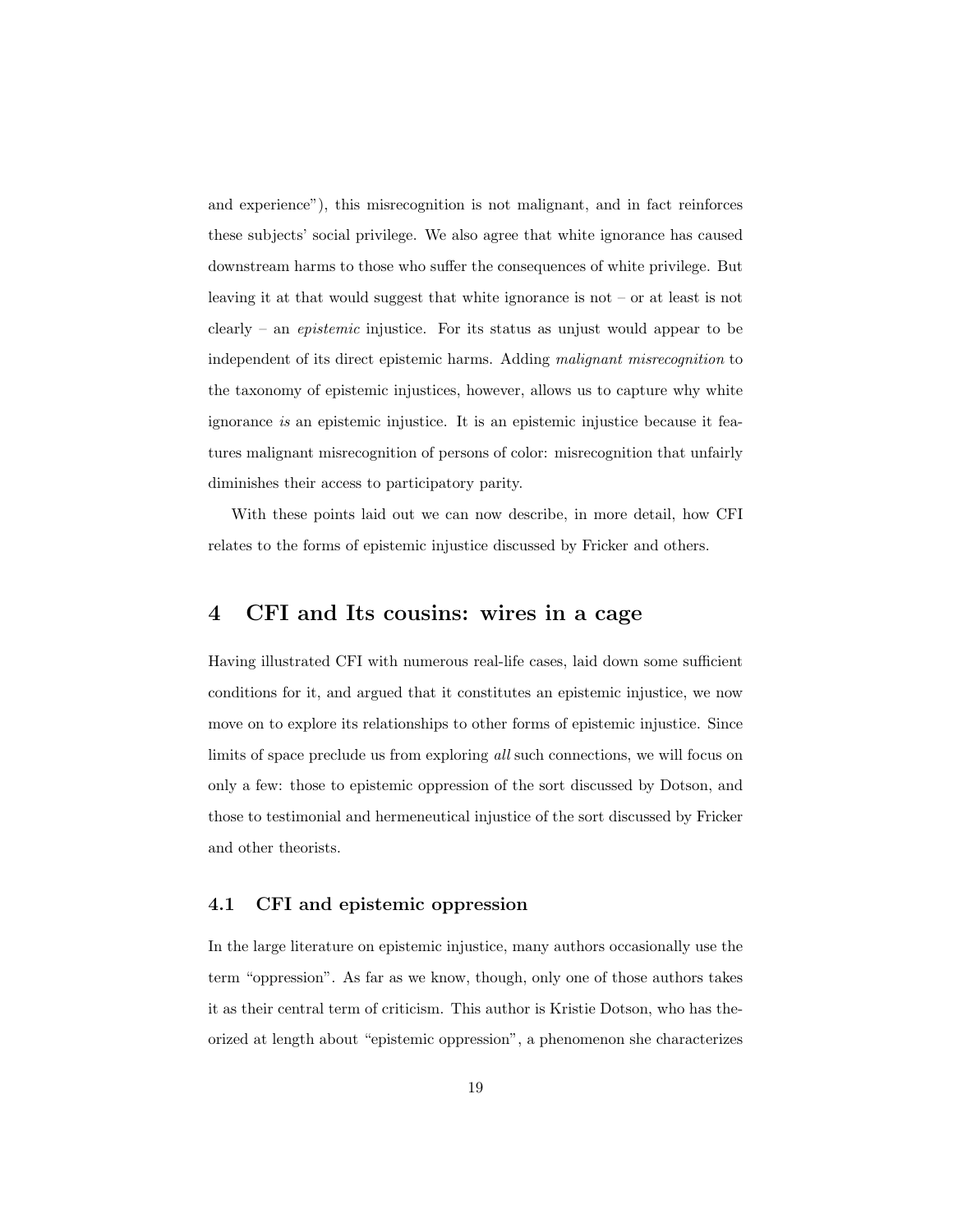and experience"), this misrecognition is not malignant, and in fact reinforces these subjects' social privilege. We also agree that white ignorance has caused downstream harms to those who suffer the consequences of white privilege. But leaving it at that would suggest that white ignorance is not – or at least is not clearly – an *epistemic* injustice. For its status as unjust would appear to be independent of its direct epistemic harms. Adding malignant misrecognition to the taxonomy of epistemic injustices, however, allows us to capture why white ignorance is an epistemic injustice. It is an epistemic injustice because it features malignant misrecognition of persons of color: misrecognition that unfairly diminishes their access to participatory parity.

With these points laid out we can now describe, in more detail, how CFI relates to the forms of epistemic injustice discussed by Fricker and others.

## 4 CFI and Its cousins: wires in a cage

Having illustrated CFI with numerous real-life cases, laid down some sufficient conditions for it, and argued that it constitutes an epistemic injustice, we now move on to explore its relationships to other forms of epistemic injustice. Since limits of space preclude us from exploring all such connections, we will focus on only a few: those to epistemic oppression of the sort discussed by Dotson, and those to testimonial and hermeneutical injustice of the sort discussed by Fricker and other theorists.

#### 4.1 CFI and epistemic oppression

In the large literature on epistemic injustice, many authors occasionally use the term "oppression". As far as we know, though, only one of those authors takes it as their central term of criticism. This author is Kristie Dotson, who has theorized at length about "epistemic oppression", a phenomenon she characterizes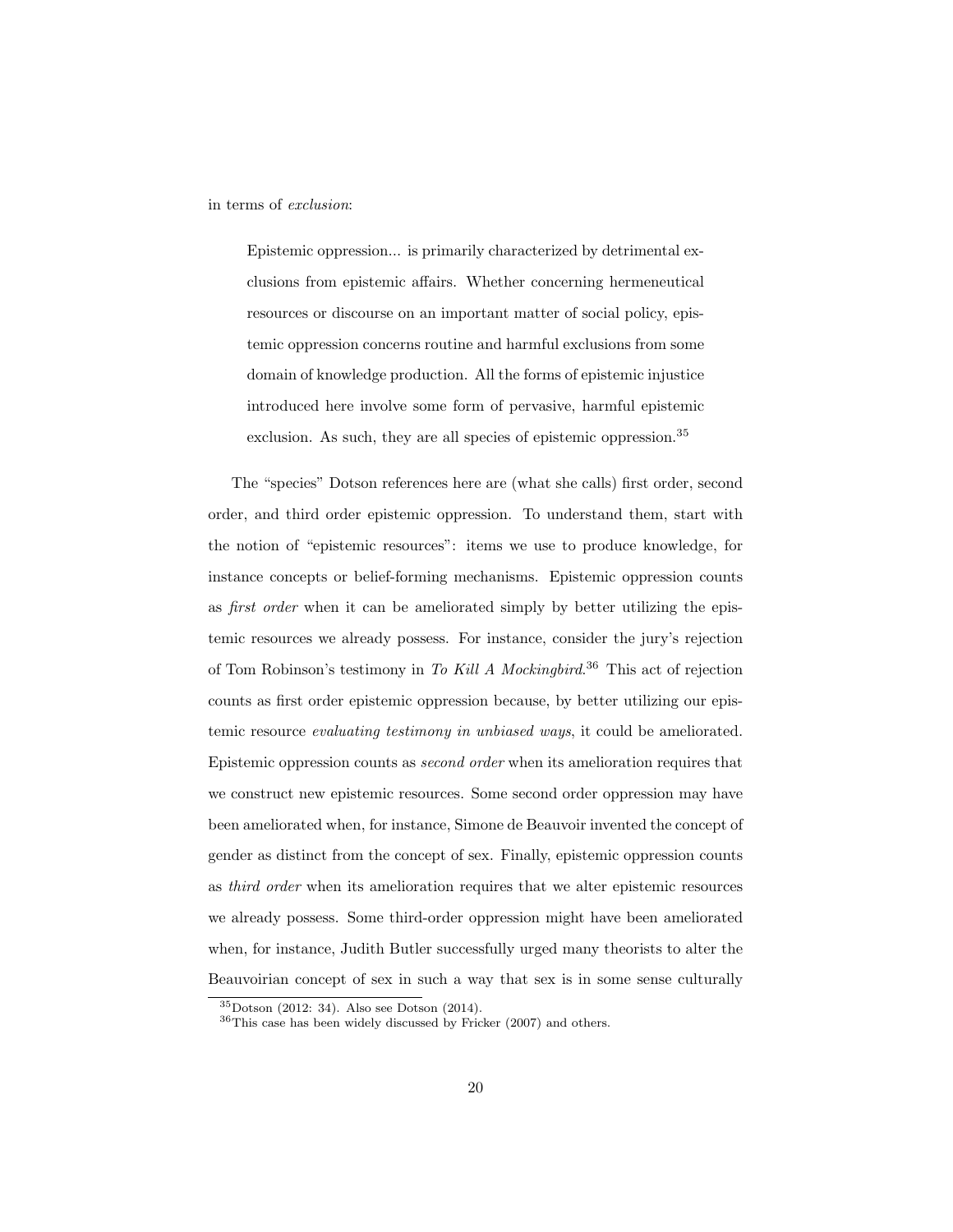in terms of exclusion:

Epistemic oppression... is primarily characterized by detrimental exclusions from epistemic affairs. Whether concerning hermeneutical resources or discourse on an important matter of social policy, epistemic oppression concerns routine and harmful exclusions from some domain of knowledge production. All the forms of epistemic injustice introduced here involve some form of pervasive, harmful epistemic exclusion. As such, they are all species of epistemic oppression.<sup>[35](#page-0-0)</sup>

The "species" Dotson references here are (what she calls) first order, second order, and third order epistemic oppression. To understand them, start with the notion of "epistemic resources": items we use to produce knowledge, for instance concepts or belief-forming mechanisms. Epistemic oppression counts as first order when it can be ameliorated simply by better utilizing the epistemic resources we already possess. For instance, consider the jury's rejection of Tom Robinson's testimony in To Kill A Mockingbird.<sup>[36](#page-0-0)</sup> This act of rejection counts as first order epistemic oppression because, by better utilizing our epistemic resource evaluating testimony in unbiased ways, it could be ameliorated. Epistemic oppression counts as second order when its amelioration requires that we construct new epistemic resources. Some second order oppression may have been ameliorated when, for instance, Simone de Beauvoir invented the concept of gender as distinct from the concept of sex. Finally, epistemic oppression counts as third order when its amelioration requires that we alter epistemic resources we already possess. Some third-order oppression might have been ameliorated when, for instance, Judith Butler successfully urged many theorists to alter the Beauvoirian concept of sex in such a way that sex is in some sense culturally

<sup>35</sup>Dotson (2012: 34). Also see Dotson (2014).

<sup>36</sup>This case has been widely discussed by Fricker (2007) and others.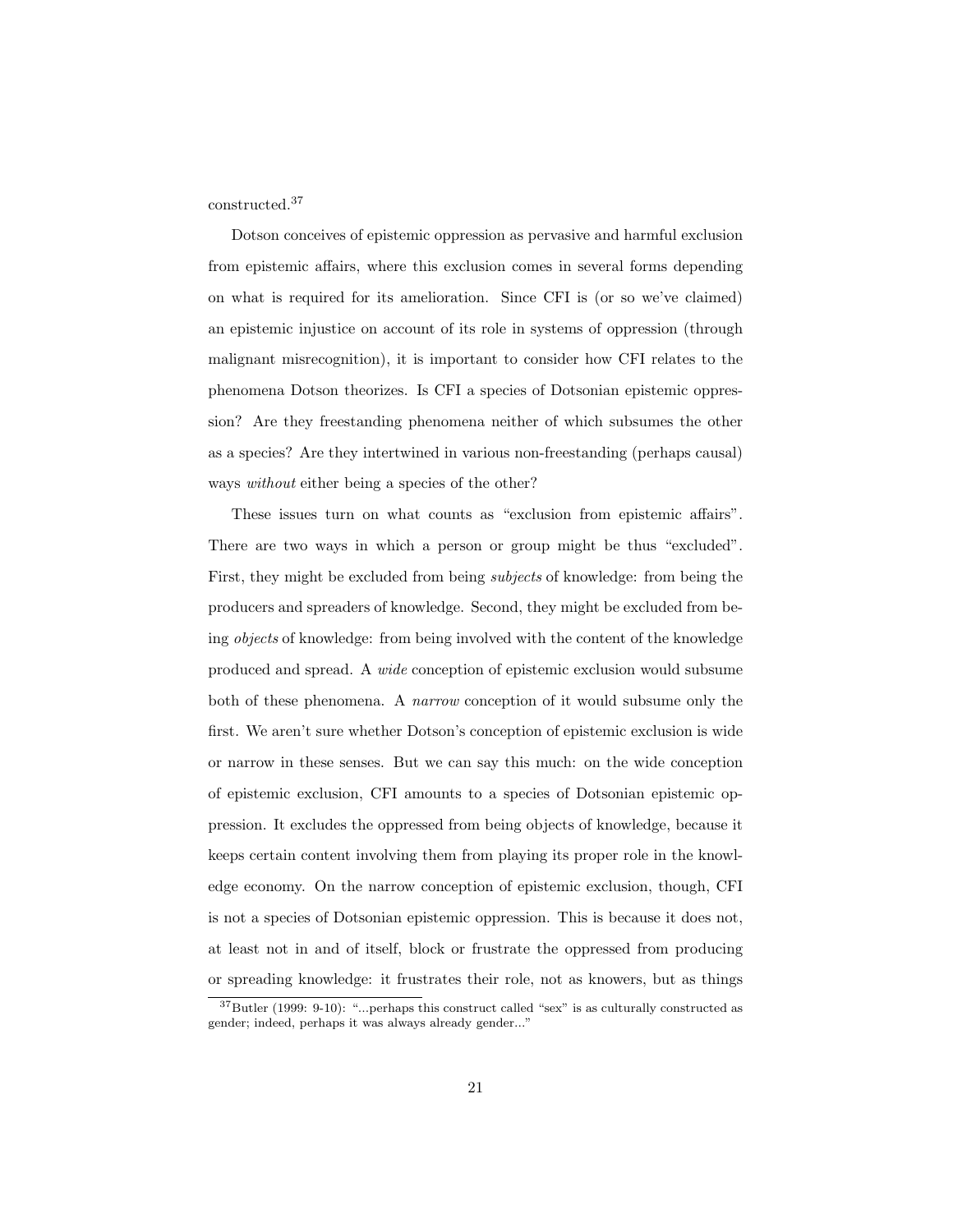constructed.[37](#page-0-0)

Dotson conceives of epistemic oppression as pervasive and harmful exclusion from epistemic affairs, where this exclusion comes in several forms depending on what is required for its amelioration. Since CFI is (or so we've claimed) an epistemic injustice on account of its role in systems of oppression (through malignant misrecognition), it is important to consider how CFI relates to the phenomena Dotson theorizes. Is CFI a species of Dotsonian epistemic oppression? Are they freestanding phenomena neither of which subsumes the other as a species? Are they intertwined in various non-freestanding (perhaps causal) ways *without* either being a species of the other?

These issues turn on what counts as "exclusion from epistemic affairs". There are two ways in which a person or group might be thus "excluded". First, they might be excluded from being subjects of knowledge: from being the producers and spreaders of knowledge. Second, they might be excluded from being objects of knowledge: from being involved with the content of the knowledge produced and spread. A wide conception of epistemic exclusion would subsume both of these phenomena. A narrow conception of it would subsume only the first. We aren't sure whether Dotson's conception of epistemic exclusion is wide or narrow in these senses. But we can say this much: on the wide conception of epistemic exclusion, CFI amounts to a species of Dotsonian epistemic oppression. It excludes the oppressed from being objects of knowledge, because it keeps certain content involving them from playing its proper role in the knowledge economy. On the narrow conception of epistemic exclusion, though, CFI is not a species of Dotsonian epistemic oppression. This is because it does not, at least not in and of itself, block or frustrate the oppressed from producing or spreading knowledge: it frustrates their role, not as knowers, but as things

 $37$ Butler (1999: 9-10): "...perhaps this construct called "sex" is as culturally constructed as gender; indeed, perhaps it was always already gender..."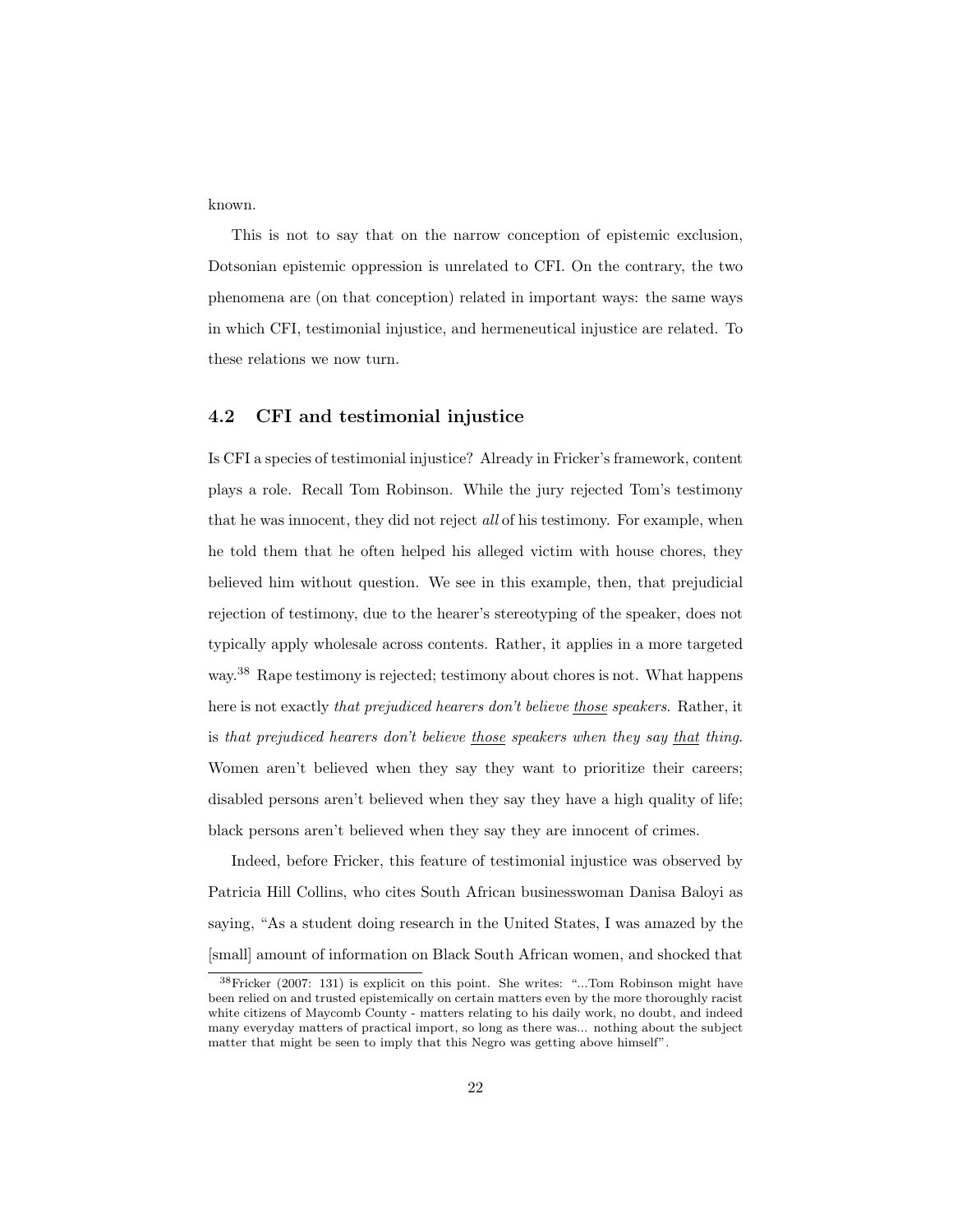known.

This is not to say that on the narrow conception of epistemic exclusion, Dotsonian epistemic oppression is unrelated to CFI. On the contrary, the two phenomena are (on that conception) related in important ways: the same ways in which CFI, testimonial injustice, and hermeneutical injustice are related. To these relations we now turn.

### 4.2 CFI and testimonial injustice

Is CFI a species of testimonial injustice? Already in Fricker's framework, content plays a role. Recall Tom Robinson. While the jury rejected Tom's testimony that he was innocent, they did not reject all of his testimony. For example, when he told them that he often helped his alleged victim with house chores, they believed him without question. We see in this example, then, that prejudicial rejection of testimony, due to the hearer's stereotyping of the speaker, does not typically apply wholesale across contents. Rather, it applies in a more targeted way.[38](#page-0-0) Rape testimony is rejected; testimony about chores is not. What happens here is not exactly that prejudiced hearers don't believe those speakers. Rather, it is that prejudiced hearers don't believe those speakers when they say that thing. Women aren't believed when they say they want to prioritize their careers; disabled persons aren't believed when they say they have a high quality of life; black persons aren't believed when they say they are innocent of crimes.

Indeed, before Fricker, this feature of testimonial injustice was observed by Patricia Hill Collins, who cites South African businesswoman Danisa Baloyi as saying, "As a student doing research in the United States, I was amazed by the [small] amount of information on Black South African women, and shocked that

<sup>38</sup>Fricker (2007: 131) is explicit on this point. She writes: "...Tom Robinson might have been relied on and trusted epistemically on certain matters even by the more thoroughly racist white citizens of Maycomb County - matters relating to his daily work, no doubt, and indeed many everyday matters of practical import, so long as there was... nothing about the subject matter that might be seen to imply that this Negro was getting above himself".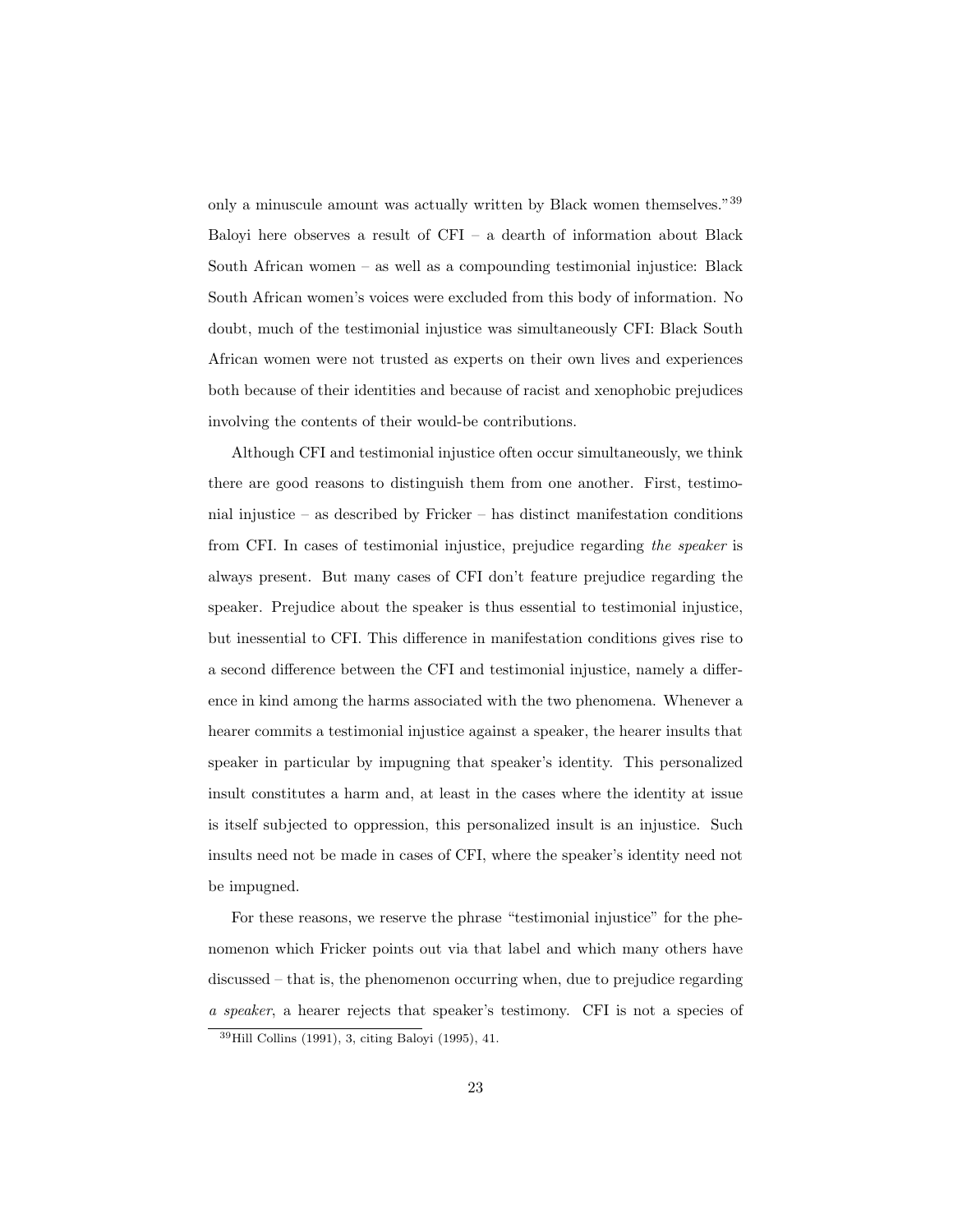only a minuscule amount was actually written by Black women themselves."[39](#page-0-0) Baloyi here observes a result of CFI – a dearth of information about Black South African women – as well as a compounding testimonial injustice: Black South African women's voices were excluded from this body of information. No doubt, much of the testimonial injustice was simultaneously CFI: Black South African women were not trusted as experts on their own lives and experiences both because of their identities and because of racist and xenophobic prejudices involving the contents of their would-be contributions.

Although CFI and testimonial injustice often occur simultaneously, we think there are good reasons to distinguish them from one another. First, testimonial injustice – as described by Fricker – has distinct manifestation conditions from CFI. In cases of testimonial injustice, prejudice regarding the speaker is always present. But many cases of CFI don't feature prejudice regarding the speaker. Prejudice about the speaker is thus essential to testimonial injustice, but inessential to CFI. This difference in manifestation conditions gives rise to a second difference between the CFI and testimonial injustice, namely a difference in kind among the harms associated with the two phenomena. Whenever a hearer commits a testimonial injustice against a speaker, the hearer insults that speaker in particular by impugning that speaker's identity. This personalized insult constitutes a harm and, at least in the cases where the identity at issue is itself subjected to oppression, this personalized insult is an injustice. Such insults need not be made in cases of CFI, where the speaker's identity need not be impugned.

For these reasons, we reserve the phrase "testimonial injustice" for the phenomenon which Fricker points out via that label and which many others have discussed – that is, the phenomenon occurring when, due to prejudice regarding a speaker, a hearer rejects that speaker's testimony. CFI is not a species of

<sup>39</sup>Hill Collins (1991), 3, citing Baloyi (1995), 41.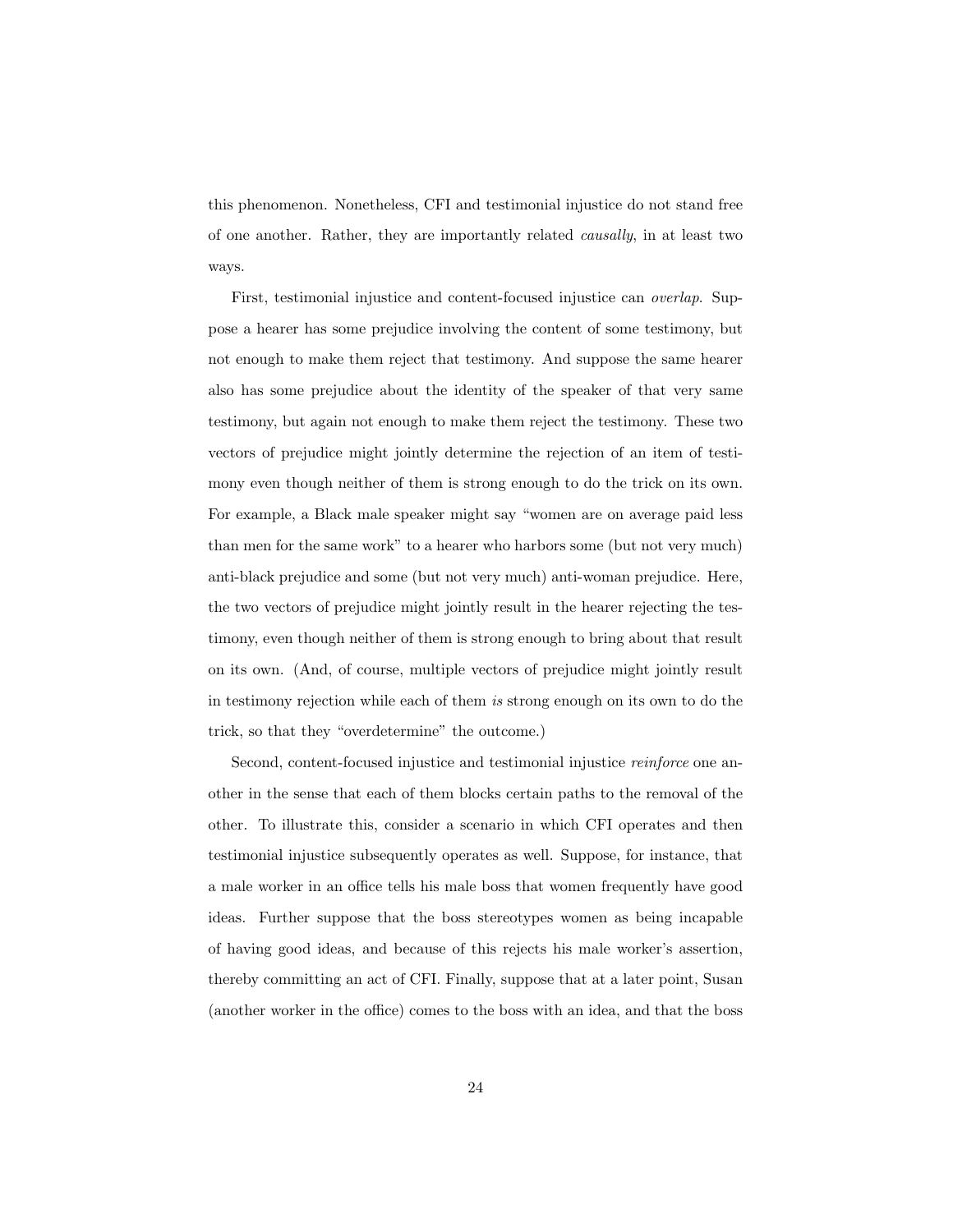this phenomenon. Nonetheless, CFI and testimonial injustice do not stand free of one another. Rather, they are importantly related causally, in at least two ways.

First, testimonial injustice and content-focused injustice can overlap. Suppose a hearer has some prejudice involving the content of some testimony, but not enough to make them reject that testimony. And suppose the same hearer also has some prejudice about the identity of the speaker of that very same testimony, but again not enough to make them reject the testimony. These two vectors of prejudice might jointly determine the rejection of an item of testimony even though neither of them is strong enough to do the trick on its own. For example, a Black male speaker might say "women are on average paid less than men for the same work" to a hearer who harbors some (but not very much) anti-black prejudice and some (but not very much) anti-woman prejudice. Here, the two vectors of prejudice might jointly result in the hearer rejecting the testimony, even though neither of them is strong enough to bring about that result on its own. (And, of course, multiple vectors of prejudice might jointly result in testimony rejection while each of them is strong enough on its own to do the trick, so that they "overdetermine" the outcome.)

Second, content-focused injustice and testimonial injustice *reinforce* one another in the sense that each of them blocks certain paths to the removal of the other. To illustrate this, consider a scenario in which CFI operates and then testimonial injustice subsequently operates as well. Suppose, for instance, that a male worker in an office tells his male boss that women frequently have good ideas. Further suppose that the boss stereotypes women as being incapable of having good ideas, and because of this rejects his male worker's assertion, thereby committing an act of CFI. Finally, suppose that at a later point, Susan (another worker in the office) comes to the boss with an idea, and that the boss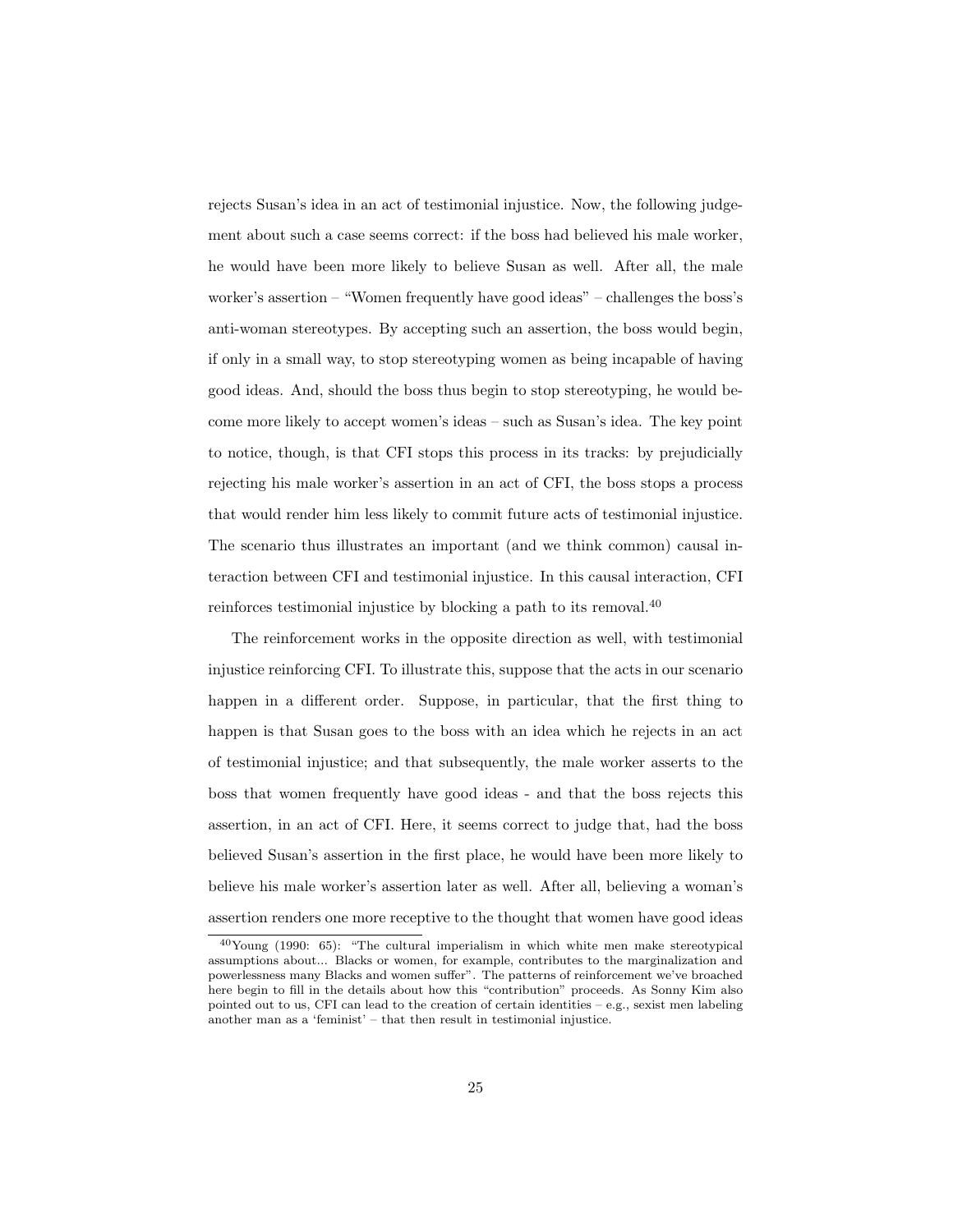rejects Susan's idea in an act of testimonial injustice. Now, the following judgement about such a case seems correct: if the boss had believed his male worker, he would have been more likely to believe Susan as well. After all, the male worker's assertion – "Women frequently have good ideas" – challenges the boss's anti-woman stereotypes. By accepting such an assertion, the boss would begin, if only in a small way, to stop stereotyping women as being incapable of having good ideas. And, should the boss thus begin to stop stereotyping, he would become more likely to accept women's ideas – such as Susan's idea. The key point to notice, though, is that CFI stops this process in its tracks: by prejudicially rejecting his male worker's assertion in an act of CFI, the boss stops a process that would render him less likely to commit future acts of testimonial injustice. The scenario thus illustrates an important (and we think common) causal interaction between CFI and testimonial injustice. In this causal interaction, CFI reinforces testimonial injustice by blocking a path to its removal.[40](#page-0-0)

The reinforcement works in the opposite direction as well, with testimonial injustice reinforcing CFI. To illustrate this, suppose that the acts in our scenario happen in a different order. Suppose, in particular, that the first thing to happen is that Susan goes to the boss with an idea which he rejects in an act of testimonial injustice; and that subsequently, the male worker asserts to the boss that women frequently have good ideas - and that the boss rejects this assertion, in an act of CFI. Here, it seems correct to judge that, had the boss believed Susan's assertion in the first place, he would have been more likely to believe his male worker's assertion later as well. After all, believing a woman's assertion renders one more receptive to the thought that women have good ideas

<sup>40</sup>Young (1990: 65): "The cultural imperialism in which white men make stereotypical assumptions about... Blacks or women, for example, contributes to the marginalization and powerlessness many Blacks and women suffer". The patterns of reinforcement we've broached here begin to fill in the details about how this "contribution" proceeds. As Sonny Kim also pointed out to us, CFI can lead to the creation of certain identities  $-e.g.,$  sexist men labeling another man as a 'feminist' – that then result in testimonial injustice.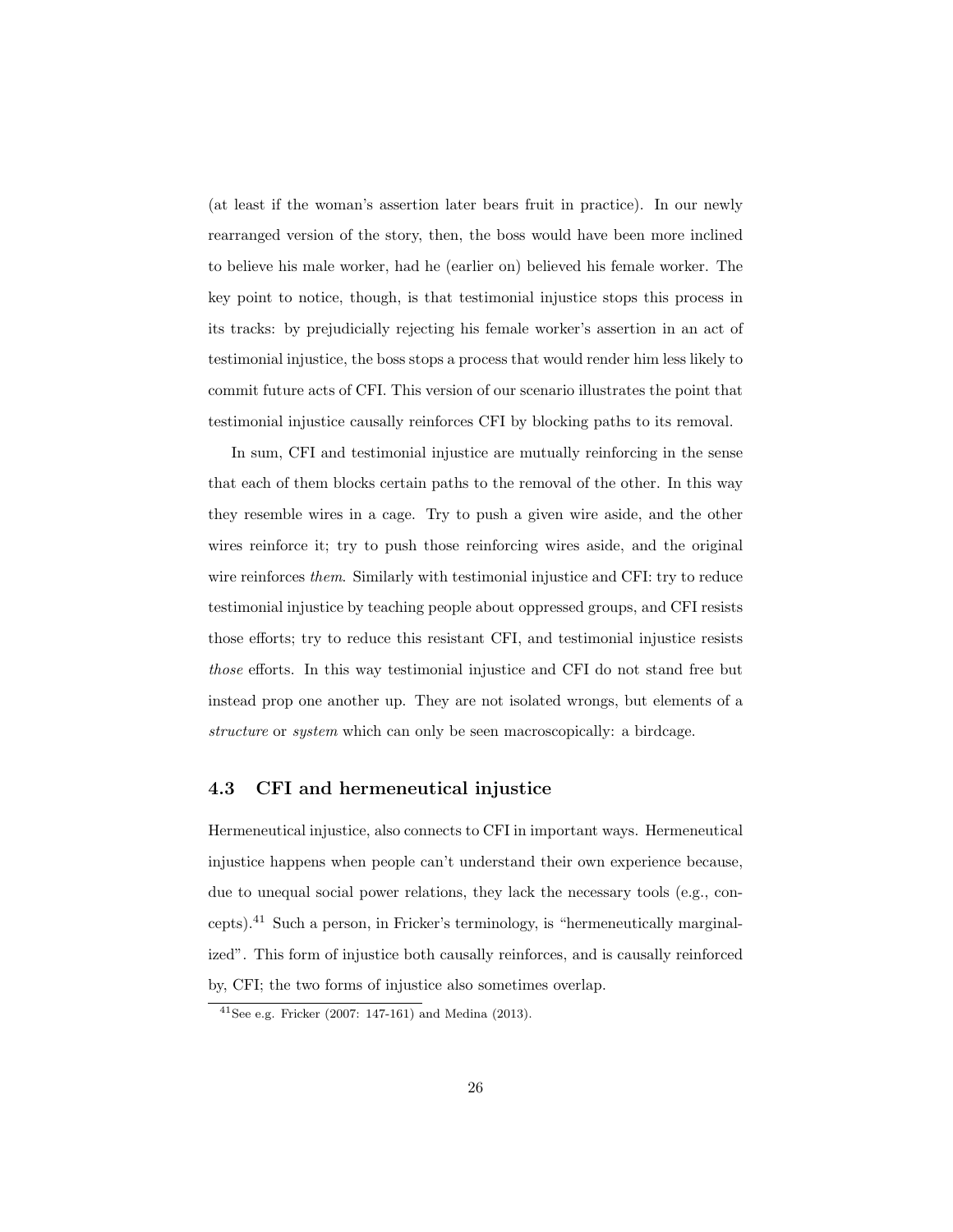(at least if the woman's assertion later bears fruit in practice). In our newly rearranged version of the story, then, the boss would have been more inclined to believe his male worker, had he (earlier on) believed his female worker. The key point to notice, though, is that testimonial injustice stops this process in its tracks: by prejudicially rejecting his female worker's assertion in an act of testimonial injustice, the boss stops a process that would render him less likely to commit future acts of CFI. This version of our scenario illustrates the point that testimonial injustice causally reinforces CFI by blocking paths to its removal.

In sum, CFI and testimonial injustice are mutually reinforcing in the sense that each of them blocks certain paths to the removal of the other. In this way they resemble wires in a cage. Try to push a given wire aside, and the other wires reinforce it; try to push those reinforcing wires aside, and the original wire reinforces *them.* Similarly with testimonial injustice and CFI: try to reduce testimonial injustice by teaching people about oppressed groups, and CFI resists those efforts; try to reduce this resistant CFI, and testimonial injustice resists those efforts. In this way testimonial injustice and CFI do not stand free but instead prop one another up. They are not isolated wrongs, but elements of a structure or *system* which can only be seen macroscopically: a birdcage.

#### 4.3 CFI and hermeneutical injustice

Hermeneutical injustice, also connects to CFI in important ways. Hermeneutical injustice happens when people can't understand their own experience because, due to unequal social power relations, they lack the necessary tools (e.g., concepts).[41](#page-0-0) Such a person, in Fricker's terminology, is "hermeneutically marginalized". This form of injustice both causally reinforces, and is causally reinforced by, CFI; the two forms of injustice also sometimes overlap.

 $41$ See e.g. Fricker (2007: 147-161) and Medina (2013).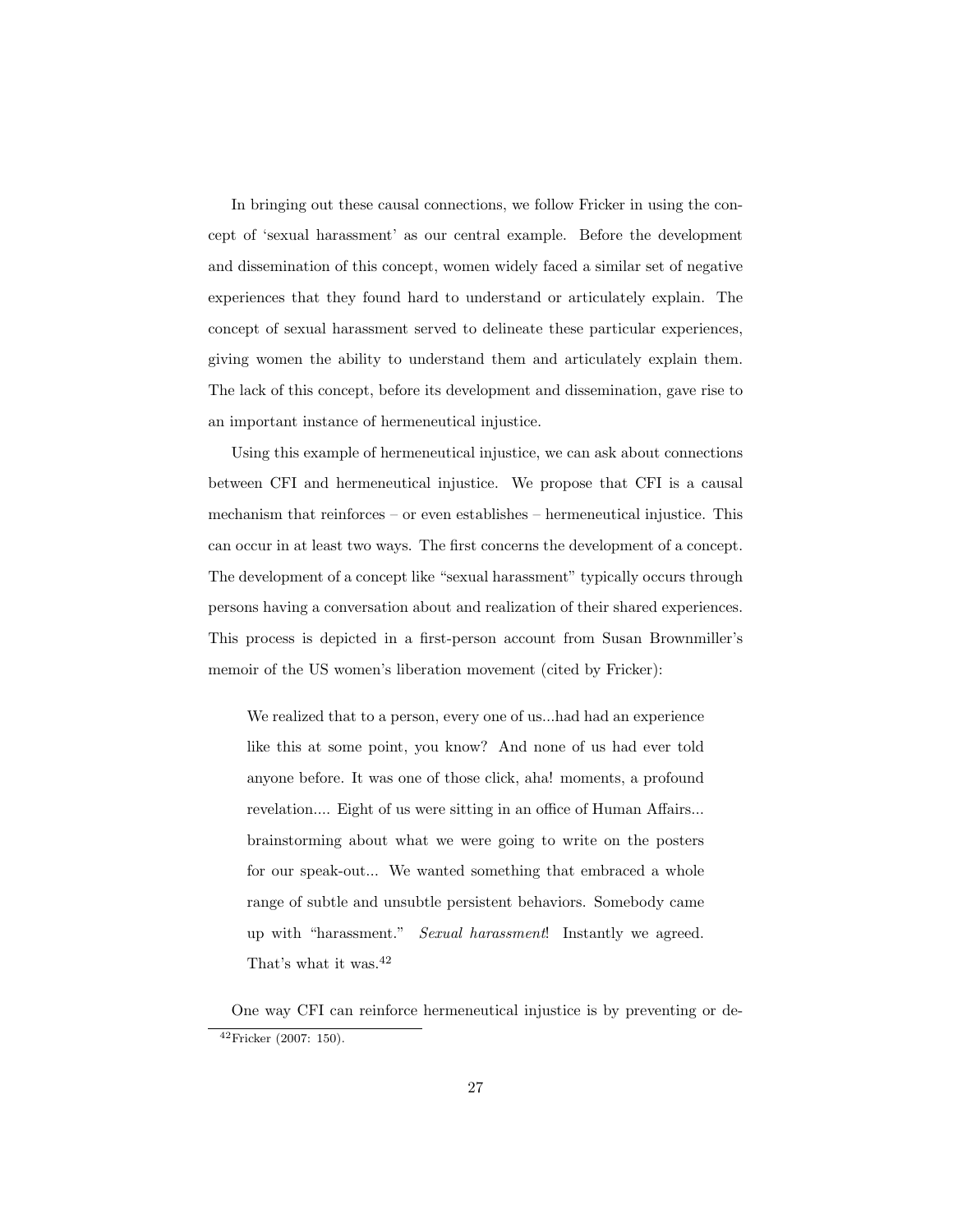In bringing out these causal connections, we follow Fricker in using the concept of 'sexual harassment' as our central example. Before the development and dissemination of this concept, women widely faced a similar set of negative experiences that they found hard to understand or articulately explain. The concept of sexual harassment served to delineate these particular experiences, giving women the ability to understand them and articulately explain them. The lack of this concept, before its development and dissemination, gave rise to an important instance of hermeneutical injustice.

Using this example of hermeneutical injustice, we can ask about connections between CFI and hermeneutical injustice. We propose that CFI is a causal mechanism that reinforces – or even establishes – hermeneutical injustice. This can occur in at least two ways. The first concerns the development of a concept. The development of a concept like "sexual harassment" typically occurs through persons having a conversation about and realization of their shared experiences. This process is depicted in a first-person account from Susan Brownmiller's memoir of the US women's liberation movement (cited by Fricker):

We realized that to a person, every one of us...had had an experience like this at some point, you know? And none of us had ever told anyone before. It was one of those click, aha! moments, a profound revelation.... Eight of us were sitting in an office of Human Affairs... brainstorming about what we were going to write on the posters for our speak-out... We wanted something that embraced a whole range of subtle and unsubtle persistent behaviors. Somebody came up with "harassment." Sexual harassment! Instantly we agreed. That's what it was.<sup>[42](#page-0-0)</sup>

One way CFI can reinforce hermeneutical injustice is by preventing or de-<sup>42</sup>Fricker (2007: 150).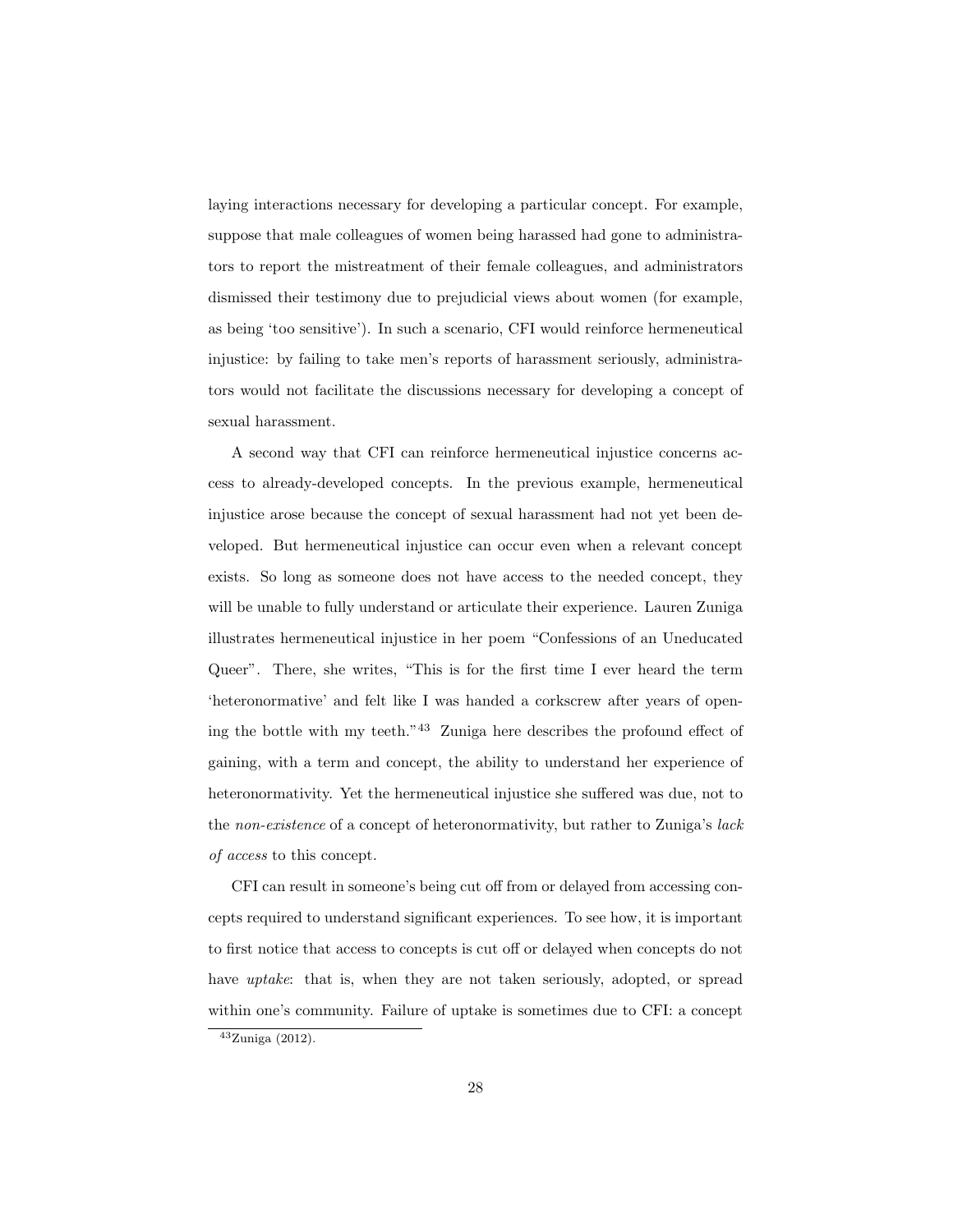laying interactions necessary for developing a particular concept. For example, suppose that male colleagues of women being harassed had gone to administrators to report the mistreatment of their female colleagues, and administrators dismissed their testimony due to prejudicial views about women (for example, as being 'too sensitive'). In such a scenario, CFI would reinforce hermeneutical injustice: by failing to take men's reports of harassment seriously, administrators would not facilitate the discussions necessary for developing a concept of sexual harassment.

A second way that CFI can reinforce hermeneutical injustice concerns access to already-developed concepts. In the previous example, hermeneutical injustice arose because the concept of sexual harassment had not yet been developed. But hermeneutical injustice can occur even when a relevant concept exists. So long as someone does not have access to the needed concept, they will be unable to fully understand or articulate their experience. Lauren Zuniga illustrates hermeneutical injustice in her poem "Confessions of an Uneducated Queer". There, she writes, "This is for the first time I ever heard the term 'heteronormative' and felt like I was handed a corkscrew after years of opening the bottle with my teeth."[43](#page-0-0) Zuniga here describes the profound effect of gaining, with a term and concept, the ability to understand her experience of heteronormativity. Yet the hermeneutical injustice she suffered was due, not to the non-existence of a concept of heteronormativity, but rather to Zuniga's lack of access to this concept.

CFI can result in someone's being cut off from or delayed from accessing concepts required to understand significant experiences. To see how, it is important to first notice that access to concepts is cut off or delayed when concepts do not have *uptake*: that is, when they are not taken seriously, adopted, or spread within one's community. Failure of uptake is sometimes due to CFI: a concept

<sup>43</sup>Zuniga (2012).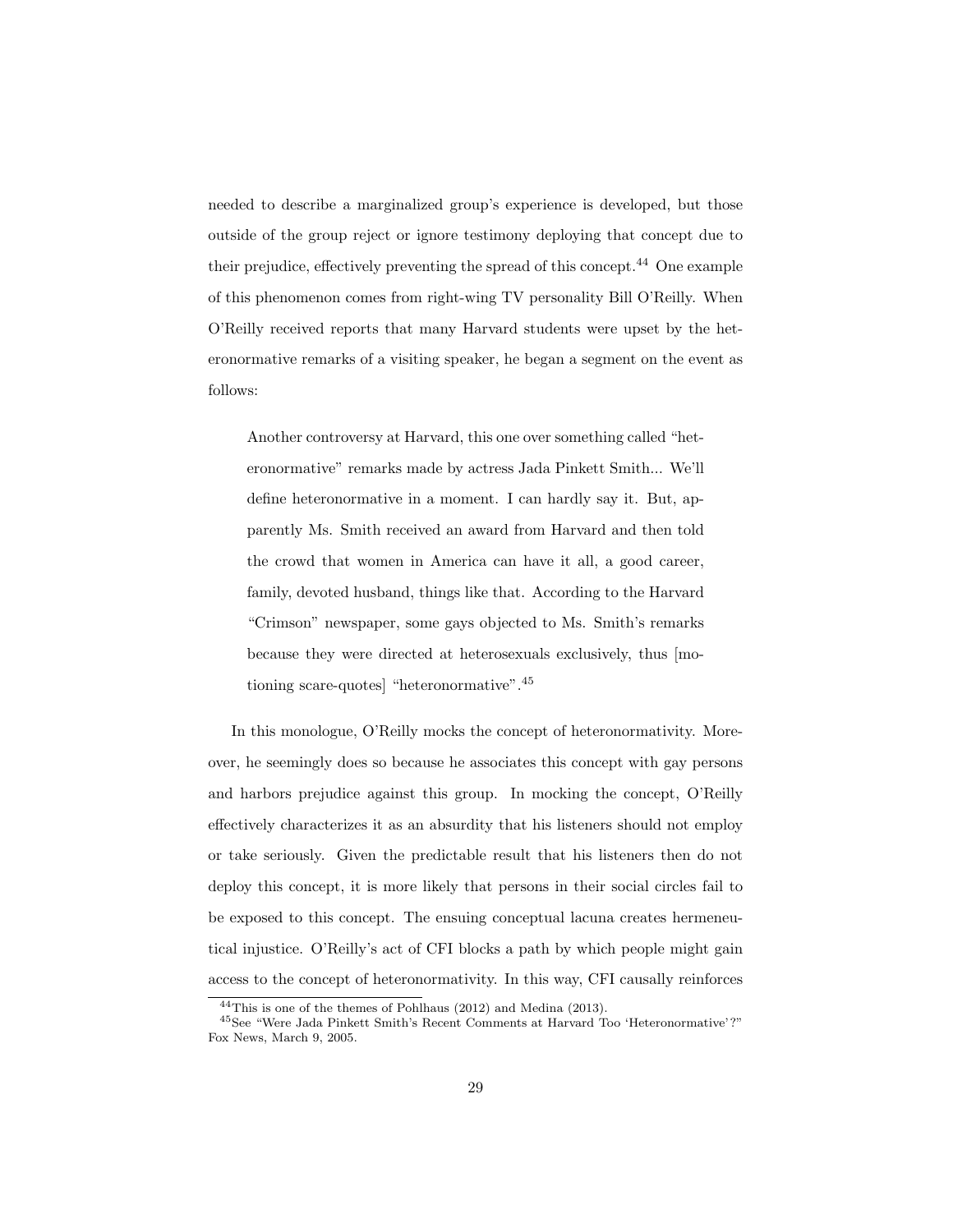needed to describe a marginalized group's experience is developed, but those outside of the group reject or ignore testimony deploying that concept due to their prejudice, effectively preventing the spread of this concept.[44](#page-0-0) One example of this phenomenon comes from right-wing TV personality Bill O'Reilly. When O'Reilly received reports that many Harvard students were upset by the heteronormative remarks of a visiting speaker, he began a segment on the event as follows:

Another controversy at Harvard, this one over something called "heteronormative" remarks made by actress Jada Pinkett Smith... We'll define heteronormative in a moment. I can hardly say it. But, apparently Ms. Smith received an award from Harvard and then told the crowd that women in America can have it all, a good career, family, devoted husband, things like that. According to the Harvard "Crimson" newspaper, some gays objected to Ms. Smith's remarks because they were directed at heterosexuals exclusively, thus [motioning scare-quotes] "heteronormative".[45](#page-0-0)

In this monologue, O'Reilly mocks the concept of heteronormativity. Moreover, he seemingly does so because he associates this concept with gay persons and harbors prejudice against this group. In mocking the concept, O'Reilly effectively characterizes it as an absurdity that his listeners should not employ or take seriously. Given the predictable result that his listeners then do not deploy this concept, it is more likely that persons in their social circles fail to be exposed to this concept. The ensuing conceptual lacuna creates hermeneutical injustice. O'Reilly's act of CFI blocks a path by which people might gain access to the concept of heteronormativity. In this way, CFI causally reinforces

<sup>44</sup>This is one of the themes of Pohlhaus (2012) and Medina (2013).

<sup>45</sup>See "Were Jada Pinkett Smith's Recent Comments at Harvard Too 'Heteronormative' ?" Fox News, March 9, 2005.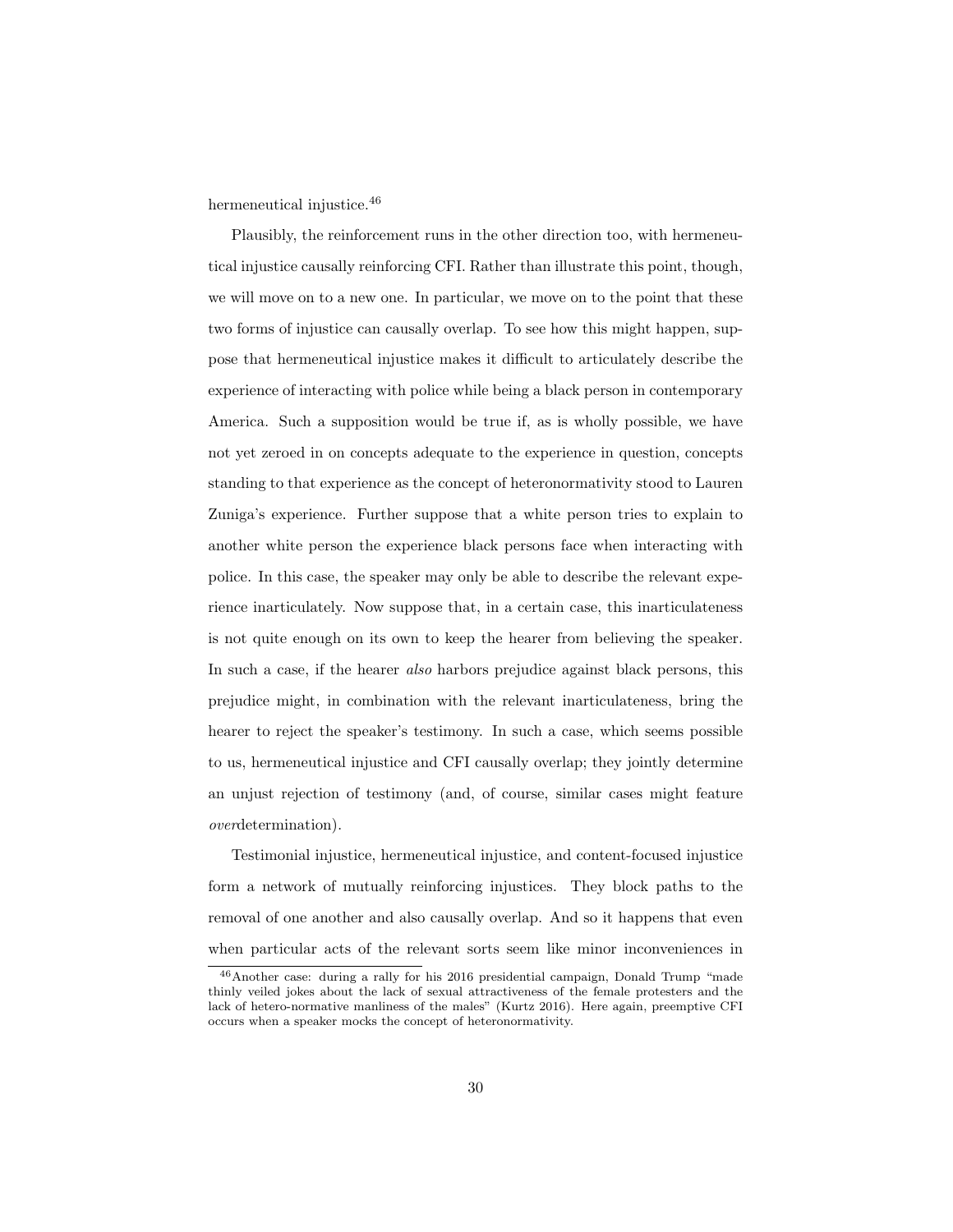hermeneutical injustice.<sup>[46](#page-0-0)</sup>

Plausibly, the reinforcement runs in the other direction too, with hermeneutical injustice causally reinforcing CFI. Rather than illustrate this point, though, we will move on to a new one. In particular, we move on to the point that these two forms of injustice can causally overlap. To see how this might happen, suppose that hermeneutical injustice makes it difficult to articulately describe the experience of interacting with police while being a black person in contemporary America. Such a supposition would be true if, as is wholly possible, we have not yet zeroed in on concepts adequate to the experience in question, concepts standing to that experience as the concept of heteronormativity stood to Lauren Zuniga's experience. Further suppose that a white person tries to explain to another white person the experience black persons face when interacting with police. In this case, the speaker may only be able to describe the relevant experience inarticulately. Now suppose that, in a certain case, this inarticulateness is not quite enough on its own to keep the hearer from believing the speaker. In such a case, if the hearer *also* harbors prejudice against black persons, this prejudice might, in combination with the relevant inarticulateness, bring the hearer to reject the speaker's testimony. In such a case, which seems possible to us, hermeneutical injustice and CFI causally overlap; they jointly determine an unjust rejection of testimony (and, of course, similar cases might feature overdetermination).

Testimonial injustice, hermeneutical injustice, and content-focused injustice form a network of mutually reinforcing injustices. They block paths to the removal of one another and also causally overlap. And so it happens that even when particular acts of the relevant sorts seem like minor inconveniences in

<sup>46</sup>Another case: during a rally for his 2016 presidential campaign, Donald Trump "made thinly veiled jokes about the lack of sexual attractiveness of the female protesters and the lack of hetero-normative manliness of the males" (Kurtz 2016). Here again, preemptive CFI occurs when a speaker mocks the concept of heteronormativity.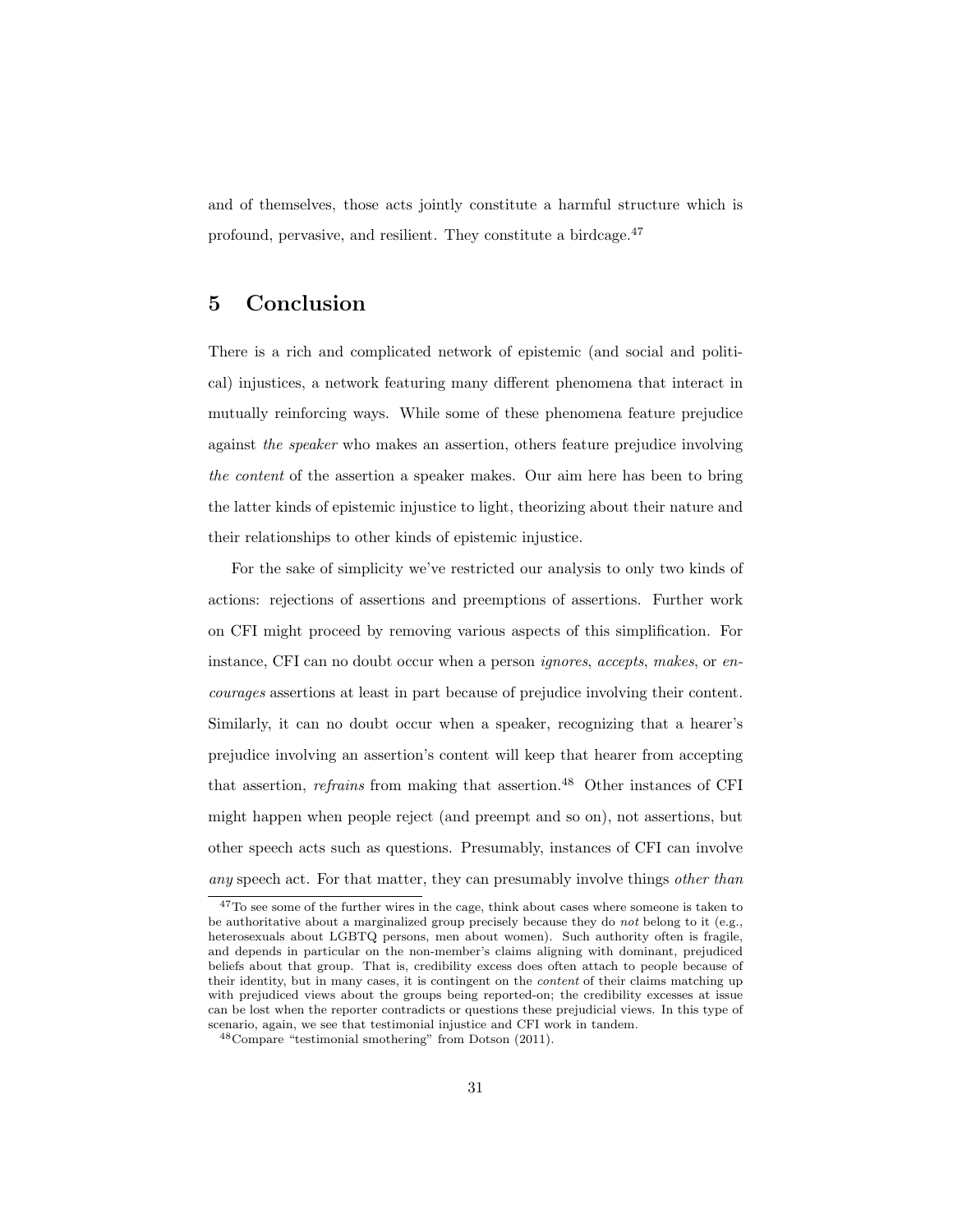and of themselves, those acts jointly constitute a harmful structure which is profound, pervasive, and resilient. They constitute a birdcage.[47](#page-0-0)

# 5 Conclusion

There is a rich and complicated network of epistemic (and social and political) injustices, a network featuring many different phenomena that interact in mutually reinforcing ways. While some of these phenomena feature prejudice against the speaker who makes an assertion, others feature prejudice involving the content of the assertion a speaker makes. Our aim here has been to bring the latter kinds of epistemic injustice to light, theorizing about their nature and their relationships to other kinds of epistemic injustice.

For the sake of simplicity we've restricted our analysis to only two kinds of actions: rejections of assertions and preemptions of assertions. Further work on CFI might proceed by removing various aspects of this simplification. For instance, CFI can no doubt occur when a person *ignores*, accepts, makes, or encourages assertions at least in part because of prejudice involving their content. Similarly, it can no doubt occur when a speaker, recognizing that a hearer's prejudice involving an assertion's content will keep that hearer from accepting that assertion, *refrains* from making that assertion.<sup>[48](#page-0-0)</sup> Other instances of CFI might happen when people reject (and preempt and so on), not assertions, but other speech acts such as questions. Presumably, instances of CFI can involve any speech act. For that matter, they can presumably involve things other than

<sup>47</sup>To see some of the further wires in the cage, think about cases where someone is taken to be authoritative about a marginalized group precisely because they do not belong to it (e.g., heterosexuals about LGBTQ persons, men about women). Such authority often is fragile, and depends in particular on the non-member's claims aligning with dominant, prejudiced beliefs about that group. That is, credibility excess does often attach to people because of their identity, but in many cases, it is contingent on the content of their claims matching up with prejudiced views about the groups being reported-on; the credibility excesses at issue can be lost when the reporter contradicts or questions these prejudicial views. In this type of scenario, again, we see that testimonial injustice and CFI work in tandem.

<sup>48</sup>Compare "testimonial smothering" from Dotson (2011).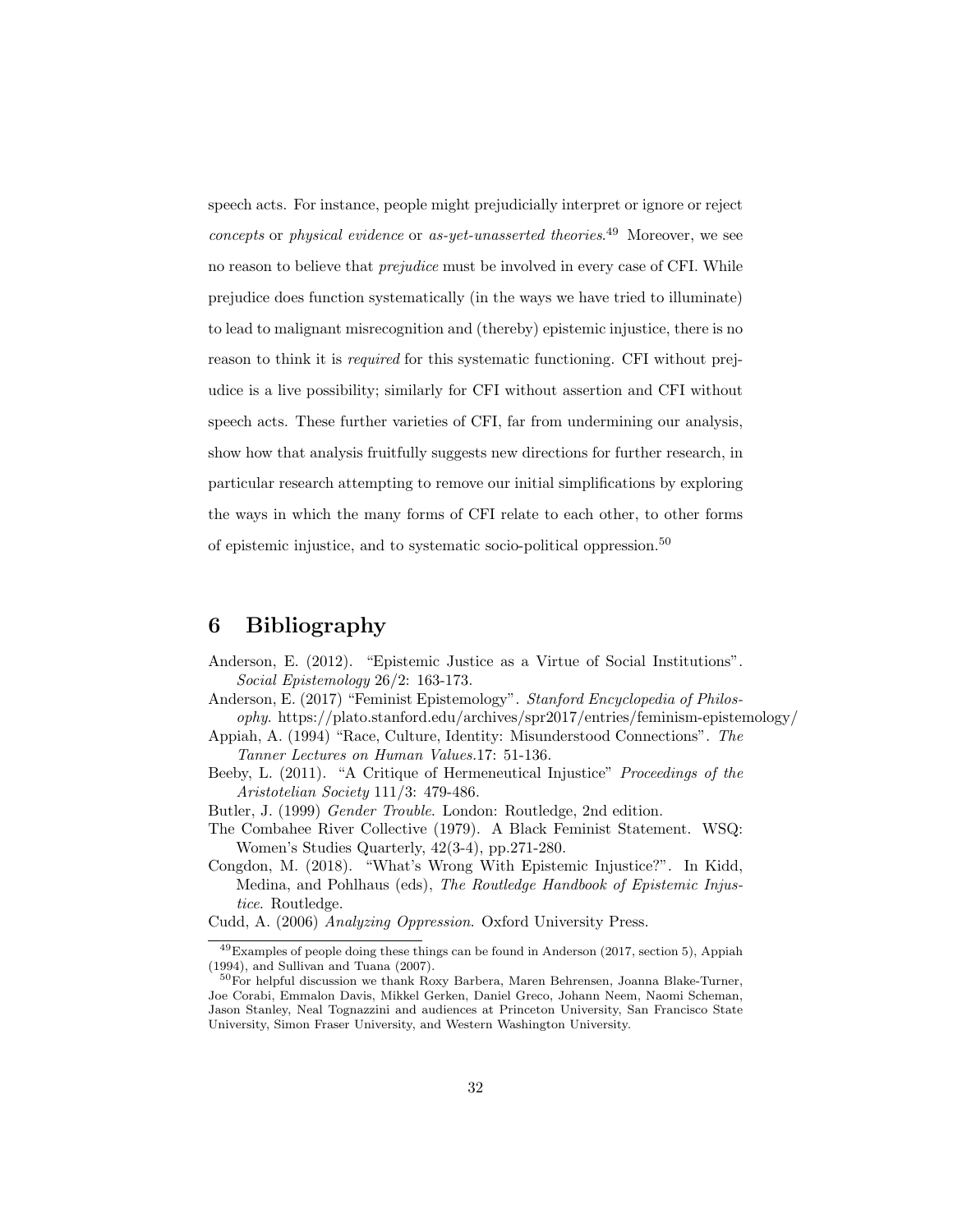speech acts. For instance, people might prejudicially interpret or ignore or reject concepts or physical evidence or as-yet-unasserted theories.<sup>[49](#page-0-0)</sup> Moreover, we see no reason to believe that prejudice must be involved in every case of CFI. While prejudice does function systematically (in the ways we have tried to illuminate) to lead to malignant misrecognition and (thereby) epistemic injustice, there is no reason to think it is required for this systematic functioning. CFI without prejudice is a live possibility; similarly for CFI without assertion and CFI without speech acts. These further varieties of CFI, far from undermining our analysis, show how that analysis fruitfully suggests new directions for further research, in particular research attempting to remove our initial simplifications by exploring the ways in which the many forms of CFI relate to each other, to other forms of epistemic injustice, and to systematic socio-political oppression.[50](#page-0-0)

# 6 Bibliography

- Anderson, E. (2012). "Epistemic Justice as a Virtue of Social Institutions". Social Epistemology 26/2: 163-173.
- Anderson, E. (2017) "Feminist Epistemology". Stanford Encyclopedia of Philosophy. https://plato.stanford.edu/archives/spr2017/entries/feminism-epistemology/
- Appiah, A. (1994) "Race, Culture, Identity: Misunderstood Connections". The Tanner Lectures on Human Values.17: 51-136.
- Beeby, L. (2011). "A Critique of Hermeneutical Injustice" Proceedings of the Aristotelian Society 111/3: 479-486.
- Butler, J. (1999) Gender Trouble. London: Routledge, 2nd edition.
- The Combahee River Collective (1979). A Black Feminist Statement. WSQ: Women's Studies Quarterly, 42(3-4), pp.271-280.
- Congdon, M. (2018). "What's Wrong With Epistemic Injustice?". In Kidd, Medina, and Pohlhaus (eds), The Routledge Handbook of Epistemic Injustice. Routledge.

Cudd, A. (2006) Analyzing Oppression. Oxford University Press.

<sup>49</sup>Examples of people doing these things can be found in Anderson (2017, section 5), Appiah (1994), and Sullivan and Tuana (2007).

<sup>&</sup>lt;sup>50</sup>For helpful discussion we thank Roxy Barbera, Maren Behrensen, Joanna Blake-Turner, Joe Corabi, Emmalon Davis, Mikkel Gerken, Daniel Greco, Johann Neem, Naomi Scheman, Jason Stanley, Neal Tognazzini and audiences at Princeton University, San Francisco State University, Simon Fraser University, and Western Washington University.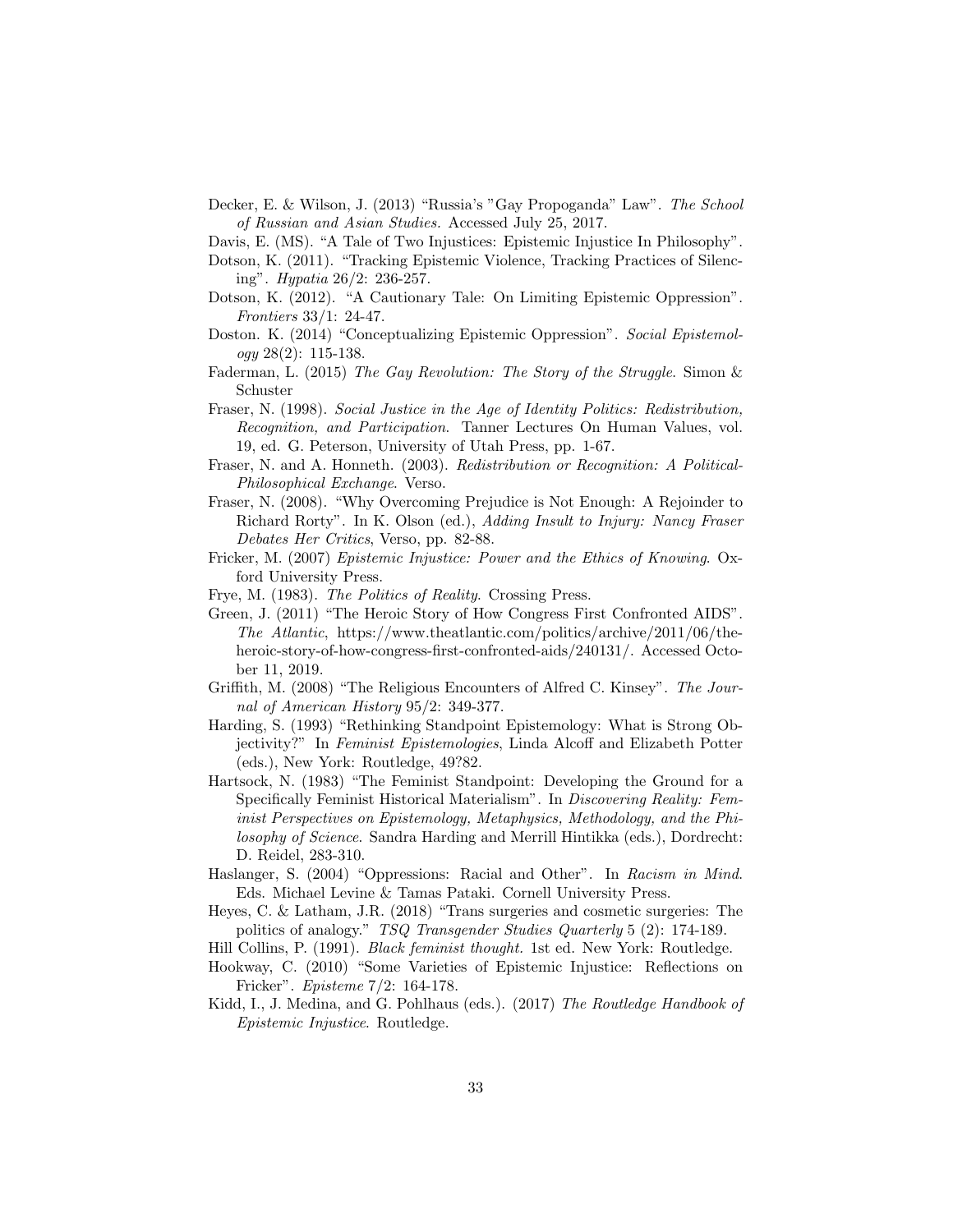- Decker, E. & Wilson, J. (2013) "Russia's "Gay Propoganda" Law". The School of Russian and Asian Studies. Accessed July 25, 2017.
- Davis, E. (MS). "A Tale of Two Injustices: Epistemic Injustice In Philosophy".
- Dotson, K. (2011). "Tracking Epistemic Violence, Tracking Practices of Silencing". Hypatia 26/2: 236-257.
- Dotson, K. (2012). "A Cautionary Tale: On Limiting Epistemic Oppression". Frontiers 33/1: 24-47.
- Doston. K. (2014) "Conceptualizing Epistemic Oppression". Social Epistemol $oqy$  28(2): 115-138.
- Faderman, L. (2015) The Gay Revolution: The Story of the Struggle. Simon & Schuster
- Fraser, N. (1998). Social Justice in the Age of Identity Politics: Redistribution, Recognition, and Participation. Tanner Lectures On Human Values, vol. 19, ed. G. Peterson, University of Utah Press, pp. 1-67.
- Fraser, N. and A. Honneth. (2003). Redistribution or Recognition: A Political-Philosophical Exchange. Verso.
- Fraser, N. (2008). "Why Overcoming Prejudice is Not Enough: A Rejoinder to Richard Rorty". In K. Olson (ed.), Adding Insult to Injury: Nancy Fraser Debates Her Critics, Verso, pp. 82-88.
- Fricker, M. (2007) Epistemic Injustice: Power and the Ethics of Knowing. Oxford University Press.
- Frye, M. (1983). The Politics of Reality. Crossing Press.
- Green, J. (2011) "The Heroic Story of How Congress First Confronted AIDS". The Atlantic, https://www.theatlantic.com/politics/archive/2011/06/theheroic-story-of-how-congress-first-confronted-aids/240131/. Accessed October 11, 2019.
- Griffith, M. (2008) "The Religious Encounters of Alfred C. Kinsey". The Journal of American History 95/2: 349-377.
- Harding, S. (1993) "Rethinking Standpoint Epistemology: What is Strong Objectivity?" In Feminist Epistemologies, Linda Alcoff and Elizabeth Potter (eds.), New York: Routledge, 49?82.
- Hartsock, N. (1983) "The Feminist Standpoint: Developing the Ground for a Specifically Feminist Historical Materialism". In Discovering Reality: Feminist Perspectives on Epistemology, Metaphysics, Methodology, and the Philosophy of Science. Sandra Harding and Merrill Hintikka (eds.), Dordrecht: D. Reidel, 283-310.
- Haslanger, S. (2004) "Oppressions: Racial and Other". In Racism in Mind. Eds. Michael Levine & Tamas Pataki. Cornell University Press.
- Heyes, C. & Latham, J.R. (2018) "Trans surgeries and cosmetic surgeries: The politics of analogy." TSQ Transgender Studies Quarterly 5 (2): 174-189.
- Hill Collins, P. (1991). Black feminist thought. 1st ed. New York: Routledge.
- Hookway, C. (2010) "Some Varieties of Epistemic Injustice: Reflections on Fricker". Episteme 7/2: 164-178.
- Kidd, I., J. Medina, and G. Pohlhaus (eds.). (2017) The Routledge Handbook of Epistemic Injustice. Routledge.